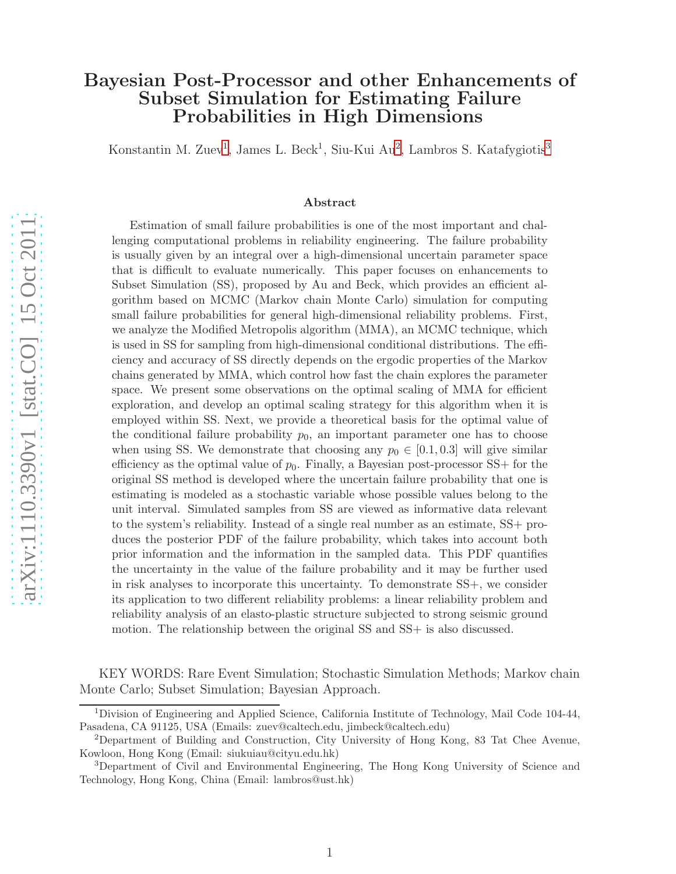## Bayesian Post-Processor and other Enhancements of Subset Simulation for Estimating Failure Probabilities in High Dimensions

Konstantin M. Zuev<sup>[1](#page-0-0)</sup>, James L. Beck<sup>1</sup>, Siu-Kui Au<sup>[2](#page-0-1)</sup>, Lambros S. Katafygiotis<sup>[3](#page-0-2)</sup>

#### Abstract

Estimation of small failure probabilities is one of the most important and challenging computational problems in reliability engineering. The failure probability is usually given by an integral over a high-dimensional uncertain parameter space that is difficult to evaluate numerically. This paper focuses on enhancements to Subset Simulation (SS), proposed by Au and Beck, which provides an efficient algorithm based on MCMC (Markov chain Monte Carlo) simulation for computing small failure probabilities for general high-dimensional reliability problems. First, we analyze the Modified Metropolis algorithm (MMA), an MCMC technique, which is used in SS for sampling from high-dimensional conditional distributions. The efficiency and accuracy of SS directly depends on the ergodic properties of the Markov chains generated by MMA, which control how fast the chain explores the parameter space. We present some observations on the optimal scaling of MMA for efficient exploration, and develop an optimal scaling strategy for this algorithm when it is employed within SS. Next, we provide a theoretical basis for the optimal value of the conditional failure probability  $p_0$ , an important parameter one has to choose when using SS. We demonstrate that choosing any  $p_0 \in [0.1, 0.3]$  will give similar efficiency as the optimal value of  $p_0$ . Finally, a Bayesian post-processor  $SS+$  for the original SS method is developed where the uncertain failure probability that one is estimating is modeled as a stochastic variable whose possible values belong to the unit interval. Simulated samples from SS are viewed as informative data relevant to the system's reliability. Instead of a single real number as an estimate, SS+ produces the posterior PDF of the failure probability, which takes into account both prior information and the information in the sampled data. This PDF quantifies the uncertainty in the value of the failure probability and it may be further used in risk analyses to incorporate this uncertainty. To demonstrate SS+, we consider its application to two different reliability problems: a linear reliability problem and reliability analysis of an elasto-plastic structure subjected to strong seismic ground motion. The relationship between the original SS and SS+ is also discussed.

KEY WORDS: Rare Event Simulation; Stochastic Simulation Methods; Markov chain Monte Carlo; Subset Simulation; Bayesian Approach.

<span id="page-0-0"></span><sup>1</sup>Division of Engineering and Applied Science, California Institute of Technology, Mail Code 104-44, Pasadena, CA 91125, USA (Emails: zuev@caltech.edu, jimbeck@caltech.edu)

<span id="page-0-1"></span><sup>2</sup>Department of Building and Construction, City University of Hong Kong, 83 Tat Chee Avenue, Kowloon, Hong Kong (Email: siukuiau@cityu.edu.hk)

<span id="page-0-2"></span><sup>3</sup>Department of Civil and Environmental Engineering, The Hong Kong University of Science and Technology, Hong Kong, China (Email: lambros@ust.hk)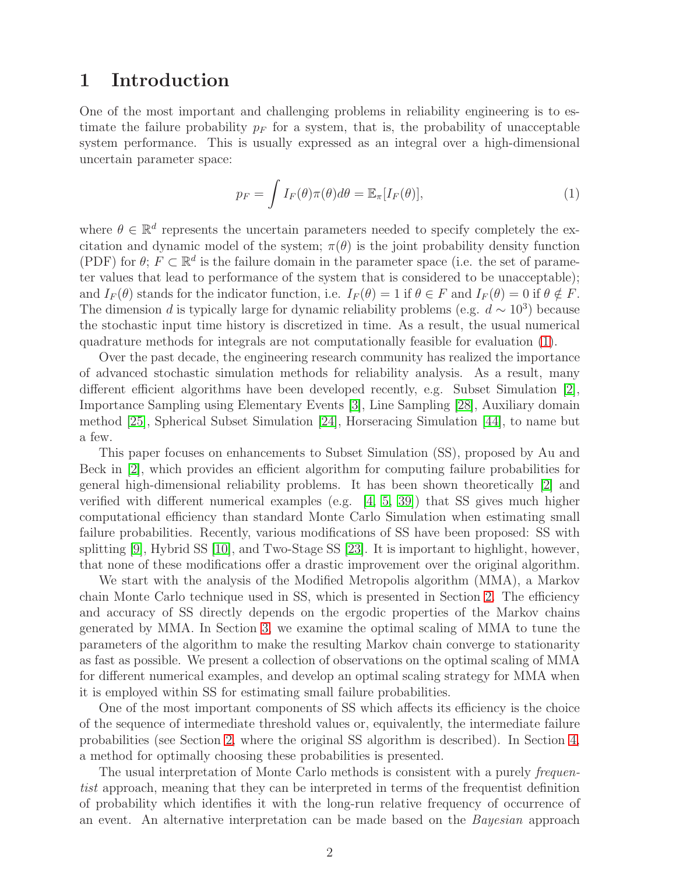### 1 Introduction

One of the most important and challenging problems in reliability engineering is to estimate the failure probability  $p_F$  for a system, that is, the probability of unacceptable system performance. This is usually expressed as an integral over a high-dimensional uncertain parameter space:

<span id="page-1-0"></span>
$$
p_F = \int I_F(\theta) \pi(\theta) d\theta = \mathbb{E}_{\pi}[I_F(\theta)], \qquad (1)
$$

where  $\theta \in \mathbb{R}^d$  represents the uncertain parameters needed to specify completely the excitation and dynamic model of the system;  $\pi(\theta)$  is the joint probability density function (PDF) for  $\theta$ ;  $F \subset \mathbb{R}^d$  is the failure domain in the parameter space (i.e. the set of parameter values that lead to performance of the system that is considered to be unacceptable); and  $I_F(\theta)$  stands for the indicator function, i.e.  $I_F(\theta) = 1$  if  $\theta \in F$  and  $I_F(\theta) = 0$  if  $\theta \notin F$ . The dimension d is typically large for dynamic reliability problems (e.g.  $d \sim 10^3$ ) because the stochastic input time history is discretized in time. As a result, the usual numerical quadrature methods for integrals are not computationally feasible for evaluation [\(1\)](#page-1-0).

Over the past decade, the engineering research community has realized the importance of advanced stochastic simulation methods for reliability analysis. As a result, many different efficient algorithms have been developed recently, e.g. Subset Simulation [\[2\]](#page-23-0), Importance Sampling using Elementary Events [\[3\]](#page-23-1), Line Sampling [\[28\]](#page-24-0), Auxiliary domain method [\[25\]](#page-24-1), Spherical Subset Simulation [\[24\]](#page-24-2), Horseracing Simulation [\[44\]](#page-25-0), to name but a few.

This paper focuses on enhancements to Subset Simulation (SS), proposed by Au and Beck in [\[2\]](#page-23-0), which provides an efficient algorithm for computing failure probabilities for general high-dimensional reliability problems. It has been shown theoretically [\[2\]](#page-23-0) and verified with different numerical examples (e.g. [\[4,](#page-23-2) [5,](#page-23-3) [39\]](#page-25-1)) that SS gives much higher computational efficiency than standard Monte Carlo Simulation when estimating small failure probabilities. Recently, various modifications of SS have been proposed: SS with splitting [\[9\]](#page-23-4), Hybrid SS [\[10\]](#page-23-5), and Two-Stage SS [\[23\]](#page-24-3). It is important to highlight, however, that none of these modifications offer a drastic improvement over the original algorithm.

We start with the analysis of the Modified Metropolis algorithm (MMA), a Markov chain Monte Carlo technique used in SS, which is presented in Section [2.](#page-2-0) The efficiency and accuracy of SS directly depends on the ergodic properties of the Markov chains generated by MMA. In Section [3,](#page-8-0) we examine the optimal scaling of MMA to tune the parameters of the algorithm to make the resulting Markov chain converge to stationarity as fast as possible. We present a collection of observations on the optimal scaling of MMA for different numerical examples, and develop an optimal scaling strategy for MMA when it is employed within SS for estimating small failure probabilities.

One of the most important components of SS which affects its efficiency is the choice of the sequence of intermediate threshold values or, equivalently, the intermediate failure probabilities (see Section [2,](#page-2-0) where the original SS algorithm is described). In Section [4,](#page-13-0) a method for optimally choosing these probabilities is presented.

The usual interpretation of Monte Carlo methods is consistent with a purely *frequen*tist approach, meaning that they can be interpreted in terms of the frequentist definition of probability which identifies it with the long-run relative frequency of occurrence of an event. An alternative interpretation can be made based on the Bayesian approach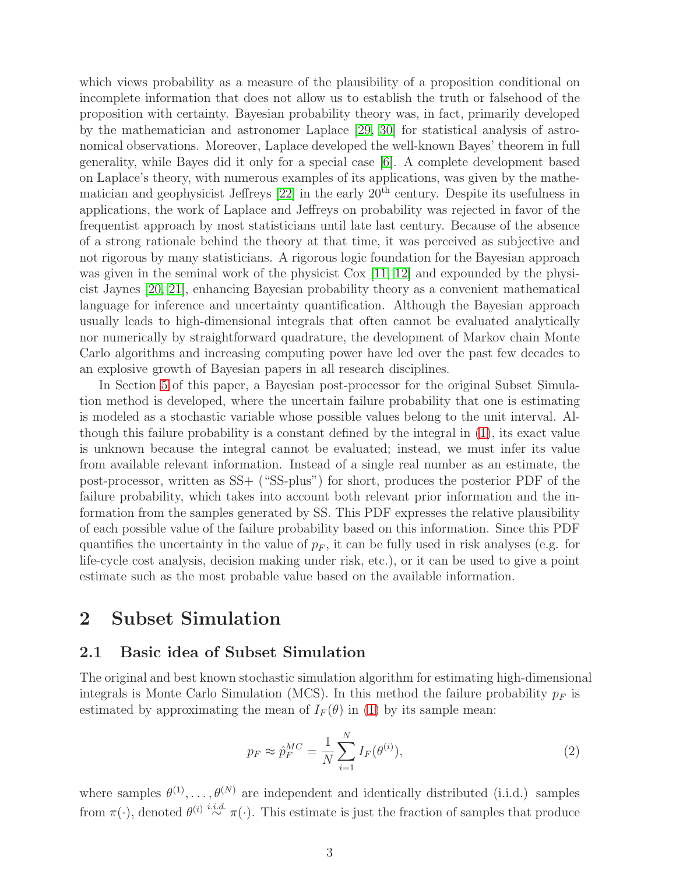which views probability as a measure of the plausibility of a proposition conditional on incomplete information that does not allow us to establish the truth or falsehood of the proposition with certainty. Bayesian probability theory was, in fact, primarily developed by the mathematician and astronomer Laplace [\[29,](#page-24-4) [30\]](#page-24-5) for statistical analysis of astronomical observations. Moreover, Laplace developed the well-known Bayes' theorem in full generality, while Bayes did it only for a special case [\[6\]](#page-23-6). A complete development based on Laplace's theory, with numerous examples of its applications, was given by the mathematician and geophysicist Jeffreys  $[22]$  in the early  $20<sup>th</sup>$  century. Despite its usefulness in applications, the work of Laplace and Jeffreys on probability was rejected in favor of the frequentist approach by most statisticians until late last century. Because of the absence of a strong rationale behind the theory at that time, it was perceived as subjective and not rigorous by many statisticians. A rigorous logic foundation for the Bayesian approach was given in the seminal work of the physicist  $\text{Cox}$  [\[11,](#page-23-7) [12\]](#page-23-8) and expounded by the physicist Jaynes [\[20,](#page-24-7) [21\]](#page-24-8), enhancing Bayesian probability theory as a convenient mathematical language for inference and uncertainty quantification. Although the Bayesian approach usually leads to high-dimensional integrals that often cannot be evaluated analytically nor numerically by straightforward quadrature, the development of Markov chain Monte Carlo algorithms and increasing computing power have led over the past few decades to an explosive growth of Bayesian papers in all research disciplines.

In Section [5](#page-14-0) of this paper, a Bayesian post-processor for the original Subset Simulation method is developed, where the uncertain failure probability that one is estimating is modeled as a stochastic variable whose possible values belong to the unit interval. Although this failure probability is a constant defined by the integral in [\(1\)](#page-1-0), its exact value is unknown because the integral cannot be evaluated; instead, we must infer its value from available relevant information. Instead of a single real number as an estimate, the post-processor, written as SS+ ("SS-plus") for short, produces the posterior PDF of the failure probability, which takes into account both relevant prior information and the information from the samples generated by SS. This PDF expresses the relative plausibility of each possible value of the failure probability based on this information. Since this PDF quantifies the uncertainty in the value of  $p_F$ , it can be fully used in risk analyses (e.g. for life-cycle cost analysis, decision making under risk, etc.), or it can be used to give a point estimate such as the most probable value based on the available information.

### <span id="page-2-0"></span>2 Subset Simulation

#### 2.1 Basic idea of Subset Simulation

The original and best known stochastic simulation algorithm for estimating high-dimensional integrals is Monte Carlo Simulation (MCS). In this method the failure probability  $p_F$  is estimated by approximating the mean of  $I_F(\theta)$  in [\(1\)](#page-1-0) by its sample mean:

<span id="page-2-1"></span>
$$
p_F \approx \hat{p}_F^{MC} = \frac{1}{N} \sum_{i=1}^{N} I_F(\theta^{(i)}),
$$
\n(2)

where samples  $\theta^{(1)}, \ldots, \theta^{(N)}$  are independent and identically distributed (i.i.d.) samples from  $\pi(\cdot)$ , denoted  $\theta^{(i)} \stackrel{i.i.d.}{\sim} \pi(\cdot)$ . This estimate is just the fraction of samples that produce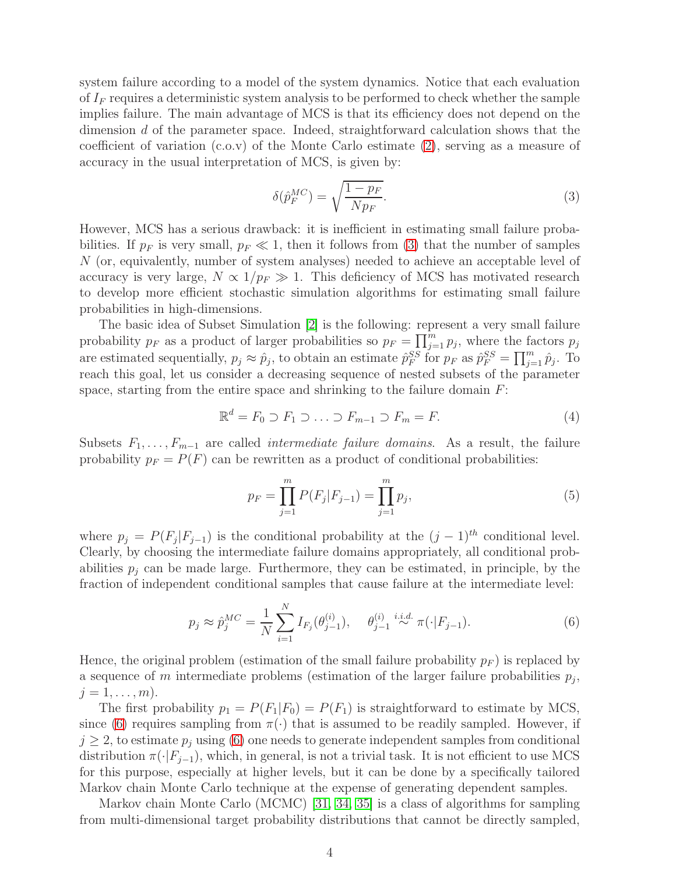system failure according to a model of the system dynamics. Notice that each evaluation of  $I_F$  requires a deterministic system analysis to be performed to check whether the sample implies failure. The main advantage of MCS is that its efficiency does not depend on the dimension d of the parameter space. Indeed, straightforward calculation shows that the coefficient of variation (c.o.v) of the Monte Carlo estimate [\(2\)](#page-2-1), serving as a measure of accuracy in the usual interpretation of MCS, is given by:

<span id="page-3-0"></span>
$$
\delta(\hat{p}_F^{MC}) = \sqrt{\frac{1 - p_F}{N p_F}}.\tag{3}
$$

However, MCS has a serious drawback: it is inefficient in estimating small failure probabilities. If  $p_F$  is very small,  $p_F \ll 1$ , then it follows from [\(3\)](#page-3-0) that the number of samples N (or, equivalently, number of system analyses) needed to achieve an acceptable level of accuracy is very large,  $N \propto 1/p_F \gg 1$ . This deficiency of MCS has motivated research to develop more efficient stochastic simulation algorithms for estimating small failure probabilities in high-dimensions.

The basic idea of Subset Simulation [\[2\]](#page-23-0) is the following: represent a very small failure probability  $p_F$  as a product of larger probabilities so  $p_F = \prod_{j=1}^m p_j$ , where the factors  $p_j$ are estimated sequentially,  $p_j \approx \hat{p}_j$ , to obtain an estimate  $\hat{p}_F^{SS}$  for  $p_F$  as  $\hat{p}_F^{SS} = \prod_{j=1}^m \hat{p}_j$ . To reach this goal, let us consider a decreasing sequence of nested subsets of the parameter space, starting from the entire space and shrinking to the failure domain  $F$ :

$$
\mathbb{R}^d = F_0 \supset F_1 \supset \ldots \supset F_{m-1} \supset F_m = F. \tag{4}
$$

Subsets  $F_1, \ldots, F_{m-1}$  are called *intermediate failure domains*. As a result, the failure probability  $p_F = P(F)$  can be rewritten as a product of conditional probabilities:

$$
p_F = \prod_{j=1}^{m} P(F_j | F_{j-1}) = \prod_{j=1}^{m} p_j,
$$
\n(5)

where  $p_j = P(F_j|F_{j-1})$  is the conditional probability at the  $(j-1)^{th}$  conditional level. Clearly, by choosing the intermediate failure domains appropriately, all conditional probabilities  $p_i$  can be made large. Furthermore, they can be estimated, in principle, by the fraction of independent conditional samples that cause failure at the intermediate level:

<span id="page-3-1"></span>
$$
p_j \approx \hat{p}_j^{MC} = \frac{1}{N} \sum_{i=1}^N I_{F_j}(\theta_{j-1}^{(i)}), \quad \theta_{j-1}^{(i)} \stackrel{i.i.d.}{\sim} \pi(\cdot | F_{j-1}). \tag{6}
$$

Hence, the original problem (estimation of the small failure probability  $p_F$ ) is replaced by a sequence of m intermediate problems (estimation of the larger failure probabilities  $p_j$ ,  $j = 1, \ldots, m$ .

The first probability  $p_1 = P(F_1|F_0) = P(F_1)$  is straightforward to estimate by MCS, since [\(6\)](#page-3-1) requires sampling from  $\pi(\cdot)$  that is assumed to be readily sampled. However, if  $j \geq 2$ , to estimate  $p_j$  using [\(6\)](#page-3-1) one needs to generate independent samples from conditional distribution  $\pi(\cdot|F_{j-1})$ , which, in general, is not a trivial task. It is not efficient to use MCS for this purpose, especially at higher levels, but it can be done by a specifically tailored Markov chain Monte Carlo technique at the expense of generating dependent samples.

Markov chain Monte Carlo (MCMC) [\[31,](#page-25-2) [34,](#page-25-3) [35\]](#page-25-4) is a class of algorithms for sampling from multi-dimensional target probability distributions that cannot be directly sampled,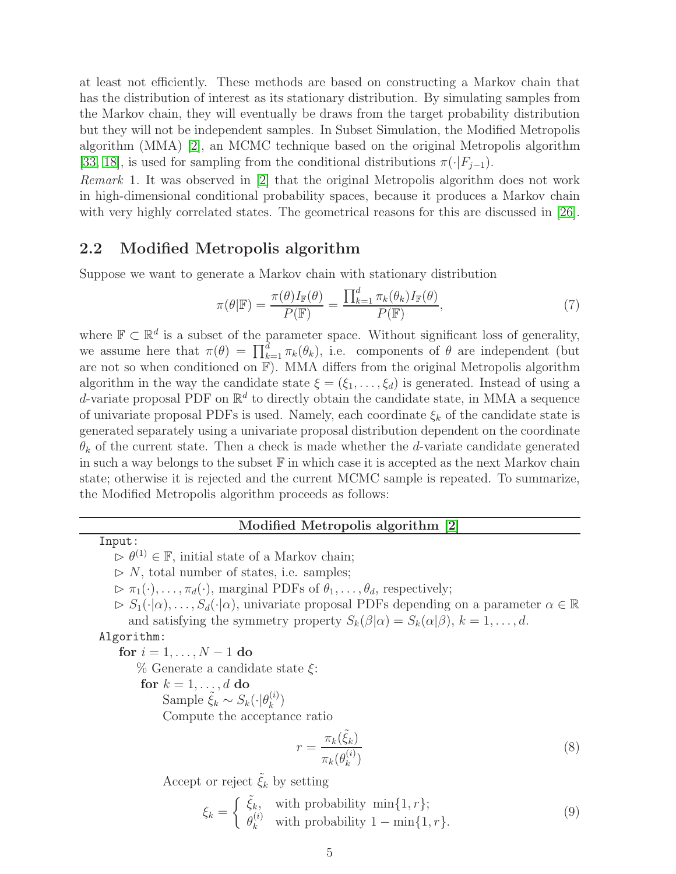at least not efficiently. These methods are based on constructing a Markov chain that has the distribution of interest as its stationary distribution. By simulating samples from the Markov chain, they will eventually be draws from the target probability distribution but they will not be independent samples. In Subset Simulation, the Modified Metropolis algorithm (MMA) [\[2\]](#page-23-0), an MCMC technique based on the original Metropolis algorithm [\[33,](#page-25-5) [18\]](#page-24-9), is used for sampling from the conditional distributions  $\pi(\cdot|F_{j-1})$ .

Remark 1. It was observed in [\[2\]](#page-23-0) that the original Metropolis algorithm does not work in high-dimensional conditional probability spaces, because it produces a Markov chain with very highly correlated states. The geometrical reasons for this are discussed in [\[26\]](#page-24-10).

### 2.2 Modified Metropolis algorithm

Suppose we want to generate a Markov chain with stationary distribution

$$
\pi(\theta|\mathbb{F}) = \frac{\pi(\theta)I_{\mathbb{F}}(\theta)}{P(\mathbb{F})} = \frac{\prod_{k=1}^{d} \pi_k(\theta_k)I_{\mathbb{F}}(\theta)}{P(\mathbb{F})},\tag{7}
$$

where  $\mathbb{F} \subset \mathbb{R}^d$  is a subset of the parameter space. Without significant loss of generality, we assume here that  $\pi(\theta) = \prod_{k=1}^d \pi_k(\theta_k)$ , i.e. components of  $\theta$  are independent (but are not so when conditioned on  $F$ ). MMA differs from the original Metropolis algorithm algorithm in the way the candidate state  $\xi = (\xi_1, \ldots, \xi_d)$  is generated. Instead of using a d-variate proposal PDF on  $\mathbb{R}^d$  to directly obtain the candidate state, in MMA a sequence of univariate proposal PDFs is used. Namely, each coordinate  $\xi_k$  of the candidate state is generated separately using a univariate proposal distribution dependent on the coordinate  $\theta_k$  of the current state. Then a check is made whether the d-variate candidate generated in such a way belongs to the subset  $\mathbb F$  in which case it is accepted as the next Markov chain state; otherwise it is rejected and the current MCMC sample is repeated. To summarize, the Modified Metropolis algorithm proceeds as follows:

#### Modified Metropolis algorithm [\[2\]](#page-23-0)

Input:

$$
\triangleright \theta^{(1)} \in \mathbb{F}
$$
, initial state of a Markov chain;

 $\triangleright$  N, total number of states, i.e. samples;

 $\rhd \pi_1(\cdot), \ldots, \pi_d(\cdot)$ , marginal PDFs of  $\theta_1, \ldots, \theta_d$ , respectively;

 $S_1(\cdot|\alpha), \ldots, S_d(\cdot|\alpha)$ , univariate proposal PDFs depending on a parameter  $\alpha \in \mathbb{R}$ and satisfying the symmetry property  $S_k(\beta|\alpha) = S_k(\alpha|\beta), k = 1, \ldots, d$ .

Algorithm:

$$
for i = 1, ..., N - 1 do
$$

% Generate a candidate state  $\xi$ :

for  $k = 1, \ldots, d$  do

Sample  $\tilde{\xi}_k \sim S_k(\cdot | \theta_k^{(i)})$  $\binom{v}{k}$ 

Compute the acceptance ratio

<span id="page-4-0"></span>
$$
r = \frac{\pi_k(\tilde{\xi}_k)}{\pi_k(\theta_k^{(i)})}
$$
\n(8)

Accept or reject  $\tilde{\xi}_k$  by setting

$$
\xi_k = \begin{cases} \tilde{\xi}_k, & \text{with probability } \min\{1, r\}; \\ \theta_k^{(i)} & \text{with probability } 1 - \min\{1, r\}. \end{cases}
$$
 (9)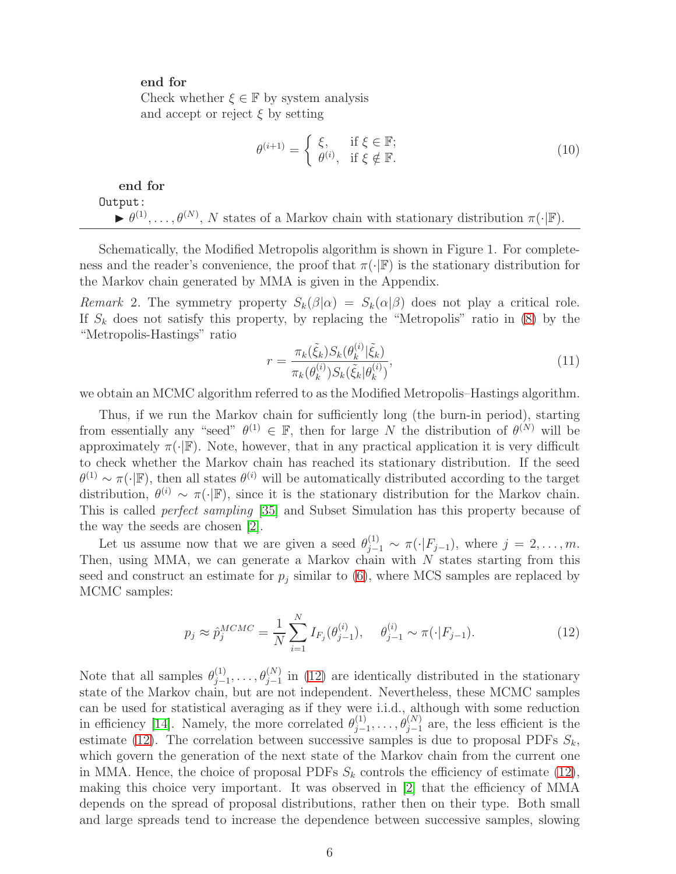end for Check whether  $\xi \in \mathbb{F}$  by system analysis and accept or reject  $\xi$  by setting

<span id="page-5-1"></span>
$$
\theta^{(i+1)} = \begin{cases} \xi, & \text{if } \xi \in \mathbb{F}; \\ \theta^{(i)}, & \text{if } \xi \notin \mathbb{F}. \end{cases}
$$
 (10)

end for

Output:

 $\blacktriangleright \theta^{(1)}, \ldots, \theta^{(N)}, N$  states of a Markov chain with stationary distribution  $\pi(\cdot | \mathbb{F})$ .

Schematically, the Modified Metropolis algorithm is shown in Figure 1. For completeness and the reader's convenience, the proof that  $\pi(\cdot|\mathbb{F})$  is the stationary distribution for the Markov chain generated by MMA is given in the Appendix.

Remark 2. The symmetry property  $S_k(\beta|\alpha) = S_k(\alpha|\beta)$  does not play a critical role. If  $S_k$  does not satisfy this property, by replacing the "Metropolis" ratio in [\(8\)](#page-4-0) by the "Metropolis-Hastings" ratio

$$
r = \frac{\pi_k(\tilde{\xi}_k) S_k(\theta_k^{(i)} | \tilde{\xi}_k)}{\pi_k(\theta_k^{(i)}) S_k(\tilde{\xi}_k | \theta_k^{(i)})},
$$
\n(11)

we obtain an MCMC algorithm referred to as the Modified Metropolis–Hastings algorithm.

Thus, if we run the Markov chain for sufficiently long (the burn-in period), starting from essentially any "seed"  $\theta^{(1)} \in \mathbb{F}$ , then for large N the distribution of  $\theta^{(N)}$  will be approximately  $\pi(\cdot|\mathbb{F})$ . Note, however, that in any practical application it is very difficult to check whether the Markov chain has reached its stationary distribution. If the seed  $\theta^{(1)} \sim \pi(\cdot|\mathbb{F})$ , then all states  $\theta^{(i)}$  will be automatically distributed according to the target distribution,  $\theta^{(i)} \sim \pi(\cdot|\mathbb{F})$ , since it is the stationary distribution for the Markov chain. This is called perfect sampling [\[35\]](#page-25-4) and Subset Simulation has this property because of the way the seeds are chosen [\[2\]](#page-23-0).

Let us assume now that we are given a seed  $\theta_{j-1}^{(1)} \sim \pi(\cdot|F_{j-1})$ , where  $j = 2, \ldots, m$ . Then, using MMA, we can generate a Markov chain with  $N$  states starting from this seed and construct an estimate for  $p_i$  similar to [\(6\)](#page-3-1), where MCS samples are replaced by MCMC samples:

<span id="page-5-0"></span>
$$
p_j \approx \hat{p}_j^{MCMC} = \frac{1}{N} \sum_{i=1}^N I_{F_j}(\theta_{j-1}^{(i)}), \quad \theta_{j-1}^{(i)} \sim \pi(\cdot | F_{j-1}).
$$
\n(12)

Note that all samples  $\theta_{i-}^{(1)}$  $j_{j-1}, \ldots, \theta_{j-1}^{(N)}$  in [\(12\)](#page-5-0) are identically distributed in the stationary state of the Markov chain, but are not independent. Nevertheless, these MCMC samples can be used for statistical averaging as if they were i.i.d., although with some reduction in efficiency [\[14\]](#page-23-9). Namely, the more correlated  $\theta_{j-}^{(1)}$  $\theta_{j-1}^{(1)}, \ldots, \theta_{j-1}^{(N)}$  are, the less efficient is the estimate [\(12\)](#page-5-0). The correlation between successive samples is due to proposal PDFs  $S_k$ , which govern the generation of the next state of the Markov chain from the current one in MMA. Hence, the choice of proposal PDFs  $S_k$  controls the efficiency of estimate [\(12\)](#page-5-0), making this choice very important. It was observed in [\[2\]](#page-23-0) that the efficiency of MMA depends on the spread of proposal distributions, rather then on their type. Both small and large spreads tend to increase the dependence between successive samples, slowing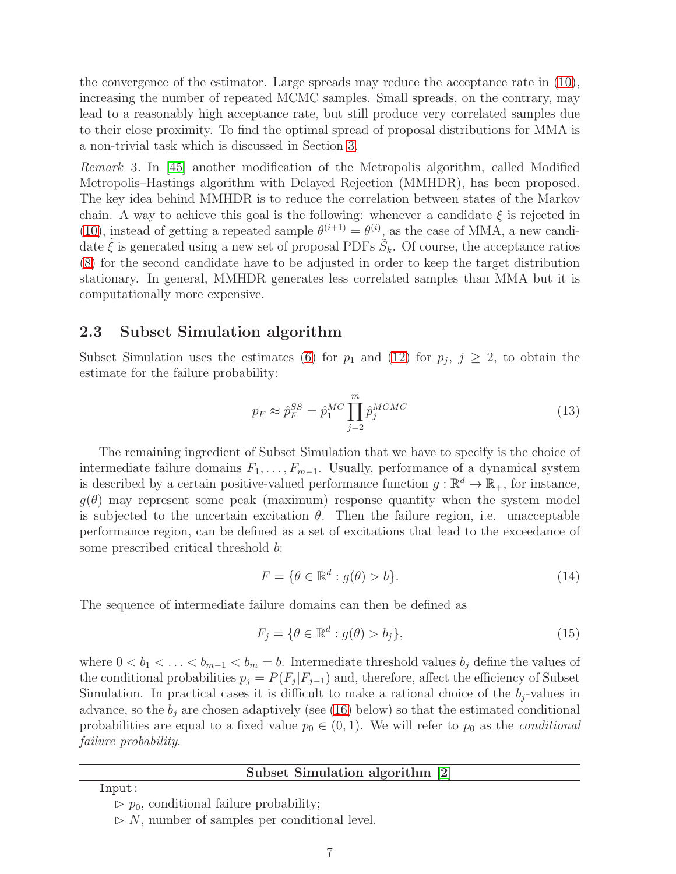the convergence of the estimator. Large spreads may reduce the acceptance rate in [\(10\)](#page-5-1), increasing the number of repeated MCMC samples. Small spreads, on the contrary, may lead to a reasonably high acceptance rate, but still produce very correlated samples due to their close proximity. To find the optimal spread of proposal distributions for MMA is a non-trivial task which is discussed in Section [3.](#page-8-0)

Remark 3. In [\[45\]](#page-25-6) another modification of the Metropolis algorithm, called Modified Metropolis–Hastings algorithm with Delayed Rejection (MMHDR), has been proposed. The key idea behind MMHDR is to reduce the correlation between states of the Markov chain. A way to achieve this goal is the following: whenever a candidate  $\xi$  is rejected in [\(10\)](#page-5-1), instead of getting a repeated sample  $\theta^{(i+1)} = \theta^{(i)}$ , as the case of MMA, a new candidate  $\tilde{\xi}$  is generated using a new set of proposal PDFs  $\tilde{S}_k$ . Of course, the acceptance ratios [\(8\)](#page-4-0) for the second candidate have to be adjusted in order to keep the target distribution stationary. In general, MMHDR generates less correlated samples than MMA but it is computationally more expensive.

#### 2.3 Subset Simulation algorithm

Subset Simulation uses the estimates [\(6\)](#page-3-1) for  $p_1$  and [\(12\)](#page-5-0) for  $p_j$ ,  $j \geq 2$ , to obtain the estimate for the failure probability:

$$
p_F \approx \hat{p}_F^{SS} = \hat{p}_1^{MC} \prod_{j=2}^m \hat{p}_j^{MCMC}
$$
\n(13)

The remaining ingredient of Subset Simulation that we have to specify is the choice of intermediate failure domains  $F_1, \ldots, F_{m-1}$ . Usually, performance of a dynamical system is described by a certain positive-valued performance function  $g : \mathbb{R}^d \to \mathbb{R}_+$ , for instance,  $g(\theta)$  may represent some peak (maximum) response quantity when the system model is subjected to the uncertain excitation  $\theta$ . Then the failure region, i.e. unacceptable performance region, can be defined as a set of excitations that lead to the exceedance of some prescribed critical threshold b:

$$
F = \{ \theta \in \mathbb{R}^d : g(\theta) > b \}. \tag{14}
$$

The sequence of intermediate failure domains can then be defined as

$$
F_j = \{ \theta \in \mathbb{R}^d : g(\theta) > b_j \},\tag{15}
$$

where  $0 < b_1 < \ldots < b_{m-1} < b_m = b$ . Intermediate threshold values  $b_j$  define the values of the conditional probabilities  $p_j = P(F_j|F_{j-1})$  and, therefore, affect the efficiency of Subset Simulation. In practical cases it is difficult to make a rational choice of the  $b_i$ -values in advance, so the  $b_j$  are chosen adaptively (see [\(16\)](#page-7-0) below) so that the estimated conditional probabilities are equal to a fixed value  $p_0 \in (0, 1)$ . We will refer to  $p_0$  as the *conditional* failure probability.

#### Subset Simulation algorithm [\[2\]](#page-23-0)

Input:

 $\rhd$  p<sub>0</sub>, conditional failure probability;

 $\triangleright$  N, number of samples per conditional level.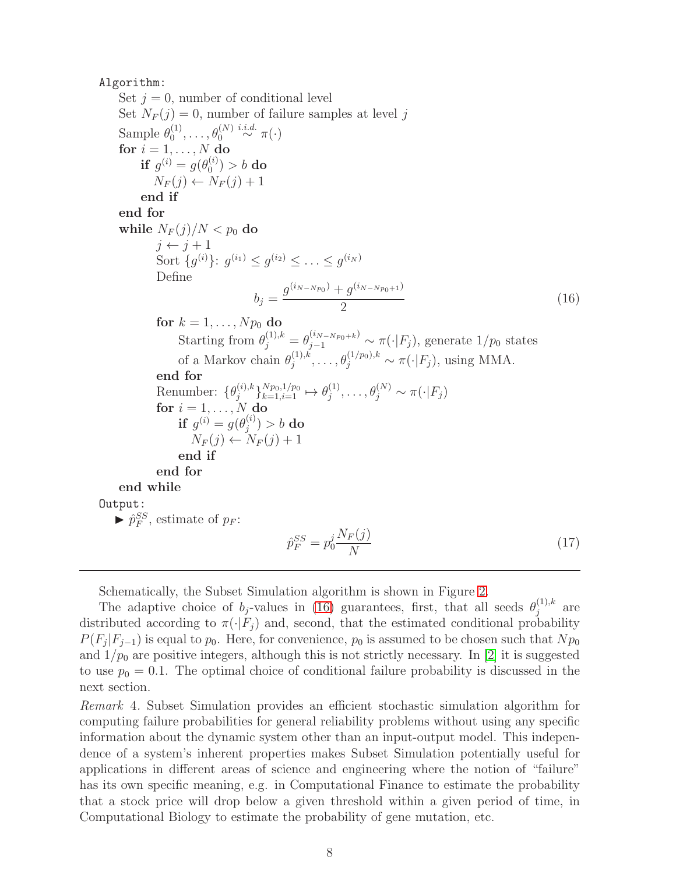#### Algorithm:

<span id="page-7-0"></span>Set  $j = 0$ , number of conditional level Set  $N_F(j) = 0$ , number of failure samples at level j Sample  $\theta_0^{(1)}$  $\theta_0^{(1)}, \ldots, \theta_0^{(N)} \stackrel{i.i.d.}{\sim} \pi(\cdot)$ for  $i = 1, \ldots, N$  do if  $g^{(i)}=g(\theta^{(i)}_0)$  $\binom{v}{0} > b$  do  $N_F(j) \leftarrow N_F(j) + 1$ end if end for while  $N_F(j)/N < p_0$  do  $j \leftarrow j + 1$ Sort  $\{g^{(i)}\}\colon g^{(i_1)} \leq g^{(i_2)} \leq \ldots \leq g^{(i_N)}$ Define  $b_j =$  $g^{(i_{N-Np_0})}+g^{(i_{N-Np_0+1})}$ 2 (16) for  $k = 1, \ldots, N p_0$  do Starting from  $\theta_j^{(1),k} = \theta_{j-1}^{(i_{N-Np_0+k})} \sim \pi(\cdot|F_j)$ , generate  $1/p_0$  states of a Markov chain  $\theta_i^{(1),k}$  $j_j^{(1),k}, \ldots, \theta_j^{(1/p_0),k} \sim \pi(\cdot|F_j)$ , using MMA. end for Renumber:  $\{\theta_j^{(i),k}\}$  $\{\phi_j^{(i),k}\}_{k=1,i=1}^{Np_0,1/p_0} \mapsto \theta_j^{(1)}$  $j^{(1)}, \ldots, \theta_j^{(N)} \sim \pi(\cdot | F_j)$ for  $i=1,\ldots,N$  do if  $g^{(i)} = g(\theta_i^{(i)})$  $\binom{v}{j} > b$  do  $N_F(j) \leftarrow N_F(j) + 1$ end if end for end while Output:  $\blacktriangleright \hat{p}_F^{SS}$ , estimate of  $p_F$ :  $\hat{p}_F^{SS} = p_0^j$  $\theta$  $N_F(j)$ N (17)

Schematically, the Subset Simulation algorithm is shown in Figure [2.](#page-27-0)

The adaptive choice of  $b_j$ -values in [\(16\)](#page-7-0) guarantees, first, that all seeds  $\theta_j^{(1),k}$  $j^{(1),k}$  are distributed according to  $\pi(\cdot|F_j)$  and, second, that the estimated conditional probability  $P(F_j|F_{j-1})$  is equal to  $p_0$ . Here, for convenience,  $p_0$  is assumed to be chosen such that  $Np_0$ and  $1/p_0$  are positive integers, although this is not strictly necessary. In [\[2\]](#page-23-0) it is suggested to use  $p_0 = 0.1$ . The optimal choice of conditional failure probability is discussed in the next section.

Remark 4. Subset Simulation provides an efficient stochastic simulation algorithm for computing failure probabilities for general reliability problems without using any specific information about the dynamic system other than an input-output model. This independence of a system's inherent properties makes Subset Simulation potentially useful for applications in different areas of science and engineering where the notion of "failure" has its own specific meaning, e.g. in Computational Finance to estimate the probability that a stock price will drop below a given threshold within a given period of time, in Computational Biology to estimate the probability of gene mutation, etc.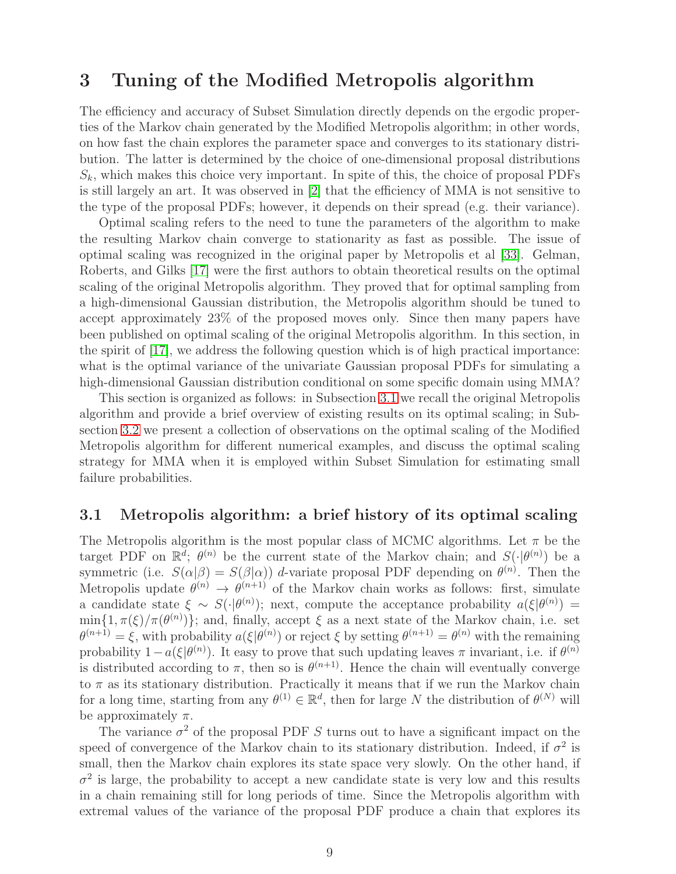## <span id="page-8-0"></span>3 Tuning of the Modified Metropolis algorithm

The efficiency and accuracy of Subset Simulation directly depends on the ergodic properties of the Markov chain generated by the Modified Metropolis algorithm; in other words, on how fast the chain explores the parameter space and converges to its stationary distribution. The latter is determined by the choice of one-dimensional proposal distributions  $S_k$ , which makes this choice very important. In spite of this, the choice of proposal PDFs is still largely an art. It was observed in [\[2\]](#page-23-0) that the efficiency of MMA is not sensitive to the type of the proposal PDFs; however, it depends on their spread (e.g. their variance).

Optimal scaling refers to the need to tune the parameters of the algorithm to make the resulting Markov chain converge to stationarity as fast as possible. The issue of optimal scaling was recognized in the original paper by Metropolis et al [\[33\]](#page-25-5). Gelman, Roberts, and Gilks [\[17\]](#page-24-11) were the first authors to obtain theoretical results on the optimal scaling of the original Metropolis algorithm. They proved that for optimal sampling from a high-dimensional Gaussian distribution, the Metropolis algorithm should be tuned to accept approximately 23% of the proposed moves only. Since then many papers have been published on optimal scaling of the original Metropolis algorithm. In this section, in the spirit of [\[17\]](#page-24-11), we address the following question which is of high practical importance: what is the optimal variance of the univariate Gaussian proposal PDFs for simulating a high-dimensional Gaussian distribution conditional on some specific domain using MMA?

This section is organized as follows: in Subsection [3.1](#page-8-1) we recall the original Metropolis algorithm and provide a brief overview of existing results on its optimal scaling; in Subsection [3.2](#page-10-0) we present a collection of observations on the optimal scaling of the Modified Metropolis algorithm for different numerical examples, and discuss the optimal scaling strategy for MMA when it is employed within Subset Simulation for estimating small failure probabilities.

#### <span id="page-8-1"></span>3.1 Metropolis algorithm: a brief history of its optimal scaling

The Metropolis algorithm is the most popular class of MCMC algorithms. Let  $\pi$  be the target PDF on  $\mathbb{R}^d$ ;  $\theta^{(n)}$  be the current state of the Markov chain; and  $S(\cdot|\theta^{(n)})$  be a symmetric (i.e.  $S(\alpha|\beta) = S(\beta|\alpha)$ ) *d*-variate proposal PDF depending on  $\theta^{(n)}$ . Then the Metropolis update  $\theta^{(n)} \to \theta^{(n+1)}$  of the Markov chain works as follows: first, simulate a candidate state  $\xi \sim S(\cdot|\theta^{(n)})$ ; next, compute the acceptance probability  $a(\xi|\theta^{(n)}) =$  $\min\{1, \pi(\xi)/\pi(\theta^{(n)})\}$ ; and, finally, accept  $\xi$  as a next state of the Markov chain, i.e. set  $\theta^{(n+1)} = \xi$ , with probability  $a(\xi|\theta^{(n)})$  or reject  $\xi$  by setting  $\theta^{(n+1)} = \theta^{(n)}$  with the remaining probability  $1 - a(\xi|\theta^{(n)})$ . It easy to prove that such updating leaves  $\pi$  invariant, i.e. if  $\theta^{(n)}$ is distributed according to  $\pi$ , then so is  $\theta^{(n+1)}$ . Hence the chain will eventually converge to  $\pi$  as its stationary distribution. Practically it means that if we run the Markov chain for a long time, starting from any  $\theta^{(1)} \in \mathbb{R}^d$ , then for large N the distribution of  $\theta^{(N)}$  will be approximately  $\pi$ .

The variance  $\sigma^2$  of the proposal PDF S turns out to have a significant impact on the speed of convergence of the Markov chain to its stationary distribution. Indeed, if  $\sigma^2$  is small, then the Markov chain explores its state space very slowly. On the other hand, if  $\sigma^2$  is large, the probability to accept a new candidate state is very low and this results in a chain remaining still for long periods of time. Since the Metropolis algorithm with extremal values of the variance of the proposal PDF produce a chain that explores its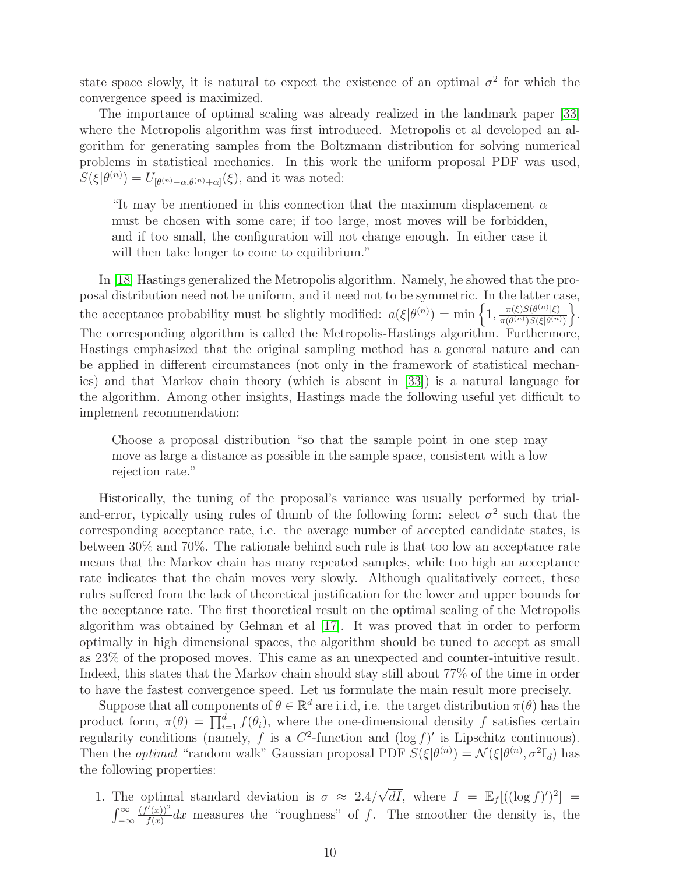state space slowly, it is natural to expect the existence of an optimal  $\sigma^2$  for which the convergence speed is maximized.

The importance of optimal scaling was already realized in the landmark paper [\[33\]](#page-25-5) where the Metropolis algorithm was first introduced. Metropolis et al developed an algorithm for generating samples from the Boltzmann distribution for solving numerical problems in statistical mechanics. In this work the uniform proposal PDF was used,  $S(\xi|\theta^{(n)})=U_{[\theta^{(n)}-\alpha,\theta^{(n)}+\alpha]}(\xi)$ , and it was noted:

"It may be mentioned in this connection that the maximum displacement  $\alpha$ must be chosen with some care; if too large, most moves will be forbidden, and if too small, the configuration will not change enough. In either case it will then take longer to come to equilibrium."

In [\[18\]](#page-24-9) Hastings generalized the Metropolis algorithm. Namely, he showed that the proposal distribution need not be uniform, and it need not to be symmetric. In the latter case, the acceptance probability must be slightly modified:  $a(\xi|\theta^{(n)}) = \min\left\{1, \frac{\pi(\xi)S(\theta^{(n)}|\xi)}{\pi(\theta^{(n)})S(\xi|\theta^{(n)})}\right\}$  $\frac{\pi(\xi)S(\theta^{(n)}|\xi)}{\pi(\theta^{(n)})S(\xi|\theta^{(n)})}$ . The corresponding algorithm is called the Metropolis-Hastings algorithm. Furthermore, Hastings emphasized that the original sampling method has a general nature and can be applied in different circumstances (not only in the framework of statistical mechanics) and that Markov chain theory (which is absent in [\[33\]](#page-25-5)) is a natural language for the algorithm. Among other insights, Hastings made the following useful yet difficult to implement recommendation:

Choose a proposal distribution "so that the sample point in one step may move as large a distance as possible in the sample space, consistent with a low rejection rate."

Historically, the tuning of the proposal's variance was usually performed by trialand-error, typically using rules of thumb of the following form: select  $\sigma^2$  such that the corresponding acceptance rate, i.e. the average number of accepted candidate states, is between 30% and 70%. The rationale behind such rule is that too low an acceptance rate means that the Markov chain has many repeated samples, while too high an acceptance rate indicates that the chain moves very slowly. Although qualitatively correct, these rules suffered from the lack of theoretical justification for the lower and upper bounds for the acceptance rate. The first theoretical result on the optimal scaling of the Metropolis algorithm was obtained by Gelman et al [\[17\]](#page-24-11). It was proved that in order to perform optimally in high dimensional spaces, the algorithm should be tuned to accept as small as 23% of the proposed moves. This came as an unexpected and counter-intuitive result. Indeed, this states that the Markov chain should stay still about 77% of the time in order to have the fastest convergence speed. Let us formulate the main result more precisely.

Suppose that all components of  $\theta \in \mathbb{R}^d$  are i.i.d, i.e. the target distribution  $\pi(\theta)$  has the product form,  $\pi(\theta) = \prod_{i=1}^{d} f(\theta_i)$ , where the one-dimensional density f satisfies certain regularity conditions (namely, f is a  $C^2$ -function and  $(\log f)'$  is Lipschitz continuous). Then the *optimal* "random walk" Gaussian proposal PDF  $S(\xi|\theta^{(n)}) = \mathcal{N}(\xi|\theta^{(n)}, \sigma^2 \mathbb{I}_d)$  has the following properties:

1. The optimal standard deviation is  $\sigma \approx 2.4/\sqrt{dI}$ , where  $I = \mathbb{E}_f[((\log f)')^2] =$  $\int_{-\infty}^{\infty}$  $(f'(x))^2$  $\frac{f(x)}{f(x)}dx$  measures the "roughness" of f. The smoother the density is, the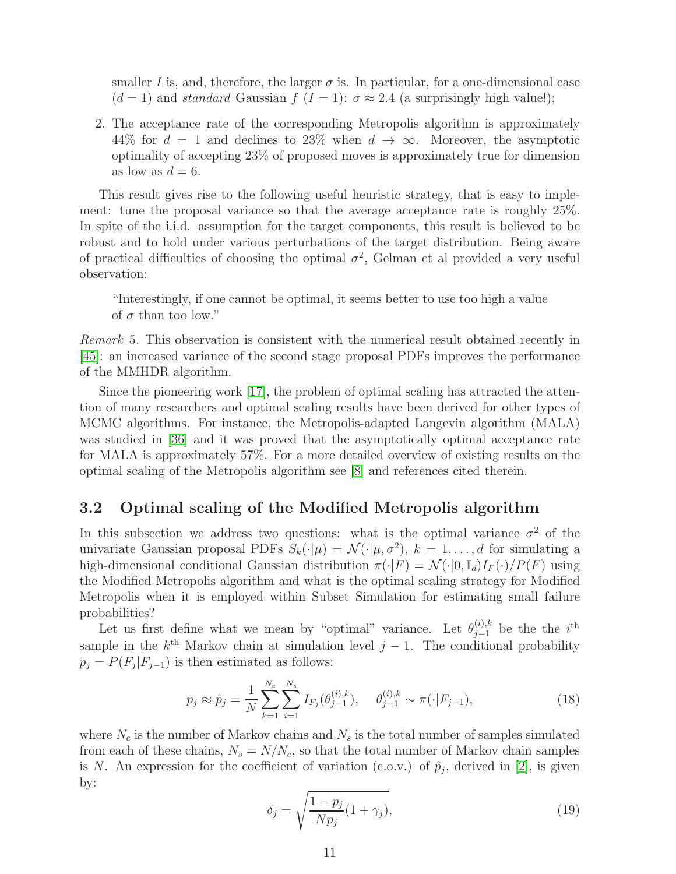smaller I is, and, therefore, the larger  $\sigma$  is. In particular, for a one-dimensional case  $(d = 1)$  and standard Gaussian  $f(T = 1): \sigma \approx 2.4$  (a surprisingly high value!);

2. The acceptance rate of the corresponding Metropolis algorithm is approximately 44% for  $d = 1$  and declines to 23% when  $d \to \infty$ . Moreover, the asymptotic optimality of accepting 23% of proposed moves is approximately true for dimension as low as  $d = 6$ .

This result gives rise to the following useful heuristic strategy, that is easy to implement: tune the proposal variance so that the average acceptance rate is roughly 25%. In spite of the i.i.d. assumption for the target components, this result is believed to be robust and to hold under various perturbations of the target distribution. Being aware of practical difficulties of choosing the optimal  $\sigma^2$ , Gelman et al provided a very useful observation:

"Interestingly, if one cannot be optimal, it seems better to use too high a value of  $\sigma$  than too low."

Remark 5. This observation is consistent with the numerical result obtained recently in [\[45\]](#page-25-6): an increased variance of the second stage proposal PDFs improves the performance of the MMHDR algorithm.

Since the pioneering work [\[17\]](#page-24-11), the problem of optimal scaling has attracted the attention of many researchers and optimal scaling results have been derived for other types of MCMC algorithms. For instance, the Metropolis-adapted Langevin algorithm (MALA) was studied in [\[36\]](#page-25-7) and it was proved that the asymptotically optimal acceptance rate for MALA is approximately 57%. For a more detailed overview of existing results on the optimal scaling of the Metropolis algorithm see [\[8\]](#page-23-10) and references cited therein.

#### <span id="page-10-0"></span>3.2 Optimal scaling of the Modified Metropolis algorithm

In this subsection we address two questions: what is the optimal variance  $\sigma^2$  of the univariate Gaussian proposal PDFs  $S_k(\cdot|\mu) = \mathcal{N}(\cdot|\mu, \sigma^2), k = 1, ..., d$  for simulating a high-dimensional conditional Gaussian distribution  $\pi(\cdot|F) = \mathcal{N}(\cdot|0, \mathbb{I}_d)I_F(\cdot)/P(F)$  using the Modified Metropolis algorithm and what is the optimal scaling strategy for Modified Metropolis when it is employed within Subset Simulation for estimating small failure probabilities?

Let us first define what we mean by "optimal" variance. Let  $\theta_{j-1}^{(i),k}$  be the the  $i^{\text{th}}$ sample in the  $k^{\text{th}}$  Markov chain at simulation level  $j-1$ . The conditional probability  $p_j = P(F_j|F_{j-1})$  is then estimated as follows:

$$
p_j \approx \hat{p}_j = \frac{1}{N} \sum_{k=1}^{N_c} \sum_{i=1}^{N_s} I_{F_j}(\theta_{j-1}^{(i),k}), \quad \theta_{j-1}^{(i),k} \sim \pi(\cdot | F_{j-1}), \tag{18}
$$

where  $N_c$  is the number of Markov chains and  $N_s$  is the total number of samples simulated from each of these chains,  $N_s = N/N_c$ , so that the total number of Markov chain samples is N. An expression for the coefficient of variation (c.o.v.) of  $\hat{p}_j$ , derived in [\[2\]](#page-23-0), is given by:

<span id="page-10-1"></span>
$$
\delta_j = \sqrt{\frac{1 - p_j}{N p_j} (1 + \gamma_j)},\tag{19}
$$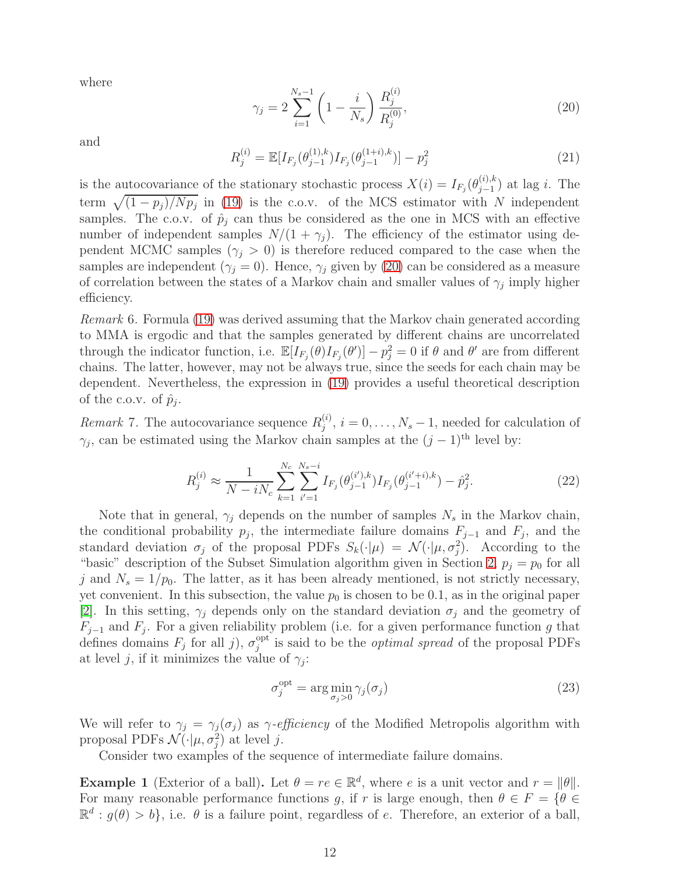where

<span id="page-11-0"></span>
$$
\gamma_j = 2 \sum_{i=1}^{N_s - 1} \left( 1 - \frac{i}{N_s} \right) \frac{R_j^{(i)}}{R_j^{(0)}},\tag{20}
$$

and

$$
R_j^{(i)} = \mathbb{E}[I_{F_j}(\theta_{j-1}^{(1),k})I_{F_j}(\theta_{j-1}^{(1+i),k})] - p_j^2
$$
\n(21)

is the autocovariance of the stationary stochastic process  $X(i) = I_{F_j}(\theta_{j-1}^{(i),k})$  $j_{-1}^{(i),\kappa}$  at lag *i*. The term  $\sqrt{(1-p_j)/Np_j}$  in [\(19\)](#page-10-1) is the c.o.v. of the MCS estimator with N independent samples. The c.o.v. of  $\hat{p}_i$  can thus be considered as the one in MCS with an effective number of independent samples  $N/(1 + \gamma_i)$ . The efficiency of the estimator using dependent MCMC samples  $(\gamma_i > 0)$  is therefore reduced compared to the case when the samples are independent ( $\gamma_j = 0$ ). Hence,  $\gamma_j$  given by [\(20\)](#page-11-0) can be considered as a measure of correlation between the states of a Markov chain and smaller values of  $\gamma_j$  imply higher efficiency.

Remark 6. Formula [\(19\)](#page-10-1) was derived assuming that the Markov chain generated according to MMA is ergodic and that the samples generated by different chains are uncorrelated through the indicator function, i.e.  $\mathbb{E}[I_{F_j}(\theta)I_{F_j}(\theta')] - p_j^2 = 0$  if  $\theta$  and  $\theta'$  are from different chains. The latter, however, may not be always true, since the seeds for each chain may be dependent. Nevertheless, the expression in [\(19\)](#page-10-1) provides a useful theoretical description of the c.o.v. of  $\hat{p}_j$ .

Remark 7. The autocovariance sequence  $R_i^{(i)}$  $j^{(i)}$ ,  $i = 0, \ldots, N_s - 1$ , needed for calculation of  $\gamma_j$ , can be estimated using the Markov chain samples at the  $(j-1)$ <sup>th</sup> level by:

$$
R_j^{(i)} \approx \frac{1}{N - iN_c} \sum_{k=1}^{N_c} \sum_{i'=1}^{N_s - i} I_{F_j}(\theta_{j-1}^{(i'),k}) I_{F_j}(\theta_{j-1}^{(i'+i),k}) - \hat{p}_j^2.
$$
 (22)

Note that in general,  $\gamma_i$  depends on the number of samples  $N_s$  in the Markov chain, the conditional probability  $p_j$ , the intermediate failure domains  $F_{j-1}$  and  $F_j$ , and the standard deviation  $\sigma_j$  of the proposal PDFs  $S_k(\cdot | \mu) = \mathcal{N}(\cdot | \mu, \sigma_j^2)$ . According to the "basic" description of the Subset Simulation algorithm given in Section [2,](#page-2-0)  $p_j = p_0$  for all j and  $N_s = 1/p_0$ . The latter, as it has been already mentioned, is not strictly necessary, yet convenient. In this subsection, the value  $p_0$  is chosen to be 0.1, as in the original paper [\[2\]](#page-23-0). In this setting,  $\gamma_j$  depends only on the standard deviation  $\sigma_j$  and the geometry of  $F_{j-1}$  and  $F_j$ . For a given reliability problem (i.e. for a given performance function g that defines domains  $F_j$  for all j),  $\sigma_j^{\text{opt}}$  $j_j^{\text{opt}}$  is said to be the *optimal spread* of the proposal PDFs at level j, if it minimizes the value of  $\gamma_j$ :

$$
\sigma_j^{\text{opt}} = \arg\min_{\sigma_j > 0} \gamma_j(\sigma_j) \tag{23}
$$

We will refer to  $\gamma_j = \gamma_j(\sigma_j)$  as  $\gamma$ -efficiency of the Modified Metropolis algorithm with proposal PDFs  $\mathcal{N}(\cdot | \mu, \sigma_j^2)$  at level j.

Consider two examples of the sequence of intermediate failure domains.

**Example 1** (Exterior of a ball). Let  $\theta = re \in \mathbb{R}^d$ , where e is a unit vector and  $r = ||\theta||$ . For many reasonable performance functions g, if r is large enough, then  $\theta \in F = \{ \theta \in$  $\mathbb{R}^d$ :  $g(\theta) > b$ , i.e.  $\theta$  is a failure point, regardless of e. Therefore, an exterior of a ball,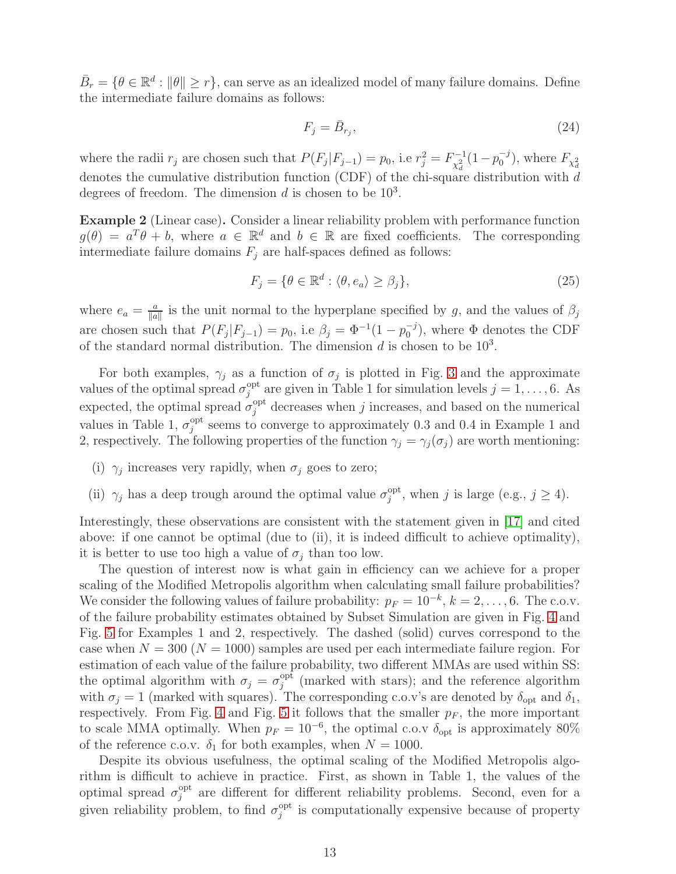$\bar{B}_r = \{\theta \in \mathbb{R}^d : \|\theta\| \geq r\}$ , can serve as an idealized model of many failure domains. Define the intermediate failure domains as follows:

$$
F_j = \bar{B}_{r_j},\tag{24}
$$

where the radii  $r_j$  are chosen such that  $P(F_j|F_{j-1}) = p_0$ , i.e  $r_j^2 = F_{\chi^2_{d}}^{-1}$  $\chi_d^{-1}(1-p_0^{-j})$  $\binom{-\jmath}{0}$ , where  $F_{\chi_d^2}$ denotes the cumulative distribution function (CDF) of the chi-square distribution with  $d$ degrees of freedom. The dimension  $d$  is chosen to be  $10^3$ .

Example 2 (Linear case). Consider a linear reliability problem with performance function  $g(\theta) = a^T \theta + b$ , where  $a \in \mathbb{R}^d$  and  $b \in \mathbb{R}$  are fixed coefficients. The corresponding intermediate failure domains  $F_i$  are half-spaces defined as follows:

$$
F_j = \{ \theta \in \mathbb{R}^d : \langle \theta, e_a \rangle \ge \beta_j \},\tag{25}
$$

where  $e_a = \frac{a}{\|a\|}$  $\frac{a}{\|a\|}$  is the unit normal to the hyperplane specified by g, and the values of  $\beta_j$ are chosen such that  $P(F_j|F_{j-1}) = p_0$ , i.e  $\beta_j = \Phi^{-1}(1 - p_0^{-j})$  $_{0}^{-j}$ ), where  $\Phi$  denotes the CDF of the standard normal distribution. The dimension  $d$  is chosen to be  $10^3$ .

For both examples,  $\gamma_j$  as a function of  $\sigma_j$  is plotted in Fig. [3](#page-28-0) and the approximate values of the optimal spread  $\sigma_i^{\text{opt}}$  $j_j^{\text{opt}}$  are given in Table 1 for simulation levels  $j = 1, \ldots, 6$ . As expected, the optimal spread  $\sigma_j^{\text{opt}}$  decreases when j increases, and based on the numerical values in Table 1,  $\sigma_i^{\text{opt}}$  $j_j^{\text{opt}}$  seems to converge to approximately 0.3 and 0.4 in Example 1 and 2, respectively. The following properties of the function  $\gamma_j = \gamma_j(\sigma_j)$  are worth mentioning:

- (i)  $\gamma_j$  increases very rapidly, when  $\sigma_j$  goes to zero;
- (ii)  $\gamma_j$  has a deep trough around the optimal value  $\sigma_j^{\text{opt}}$  $j^{\text{opt}}$ , when j is large (e.g.,  $j \geq 4$ ).

Interestingly, these observations are consistent with the statement given in [\[17\]](#page-24-11) and cited above: if one cannot be optimal (due to (ii), it is indeed difficult to achieve optimality), it is better to use too high a value of  $\sigma_j$  than too low.

The question of interest now is what gain in efficiency can we achieve for a proper scaling of the Modified Metropolis algorithm when calculating small failure probabilities? We consider the following values of failure probability:  $p_F = 10^{-k}$ ,  $k = 2, ..., 6$ . The c.o.v. of the failure probability estimates obtained by Subset Simulation are given in Fig. [4](#page-29-0) and Fig. [5](#page-30-0) for Examples 1 and 2, respectively. The dashed (solid) curves correspond to the case when  $N = 300 (N = 1000)$  samples are used per each intermediate failure region. For estimation of each value of the failure probability, two different MMAs are used within SS: the optimal algorithm with  $\sigma_j = \sigma_j^{\text{opt}}$  $j_j^{\text{opt}}$  (marked with stars); and the reference algorithm with  $\sigma_j = 1$  (marked with squares). The corresponding c.o.v's are denoted by  $\delta_{\text{opt}}$  and  $\delta_1$ , respectively. From Fig. [4](#page-29-0) and Fig. [5](#page-30-0) it follows that the smaller  $p_F$ , the more important to scale MMA optimally. When  $p_F = 10^{-6}$ , the optimal c.o.v  $\delta_{\text{opt}}$  is approximately 80% of the reference c.o.v.  $\delta_1$  for both examples, when  $N = 1000$ .

Despite its obvious usefulness, the optimal scaling of the Modified Metropolis algorithm is difficult to achieve in practice. First, as shown in Table 1, the values of the optimal spread  $\sigma_i^{\text{opt}}$  $j_j^{\text{opt}}$  are different for different reliability problems. Second, even for a given reliability problem, to find  $\sigma_i^{\text{opt}}$  $j_j^{\text{opt}}$  is computationally expensive because of property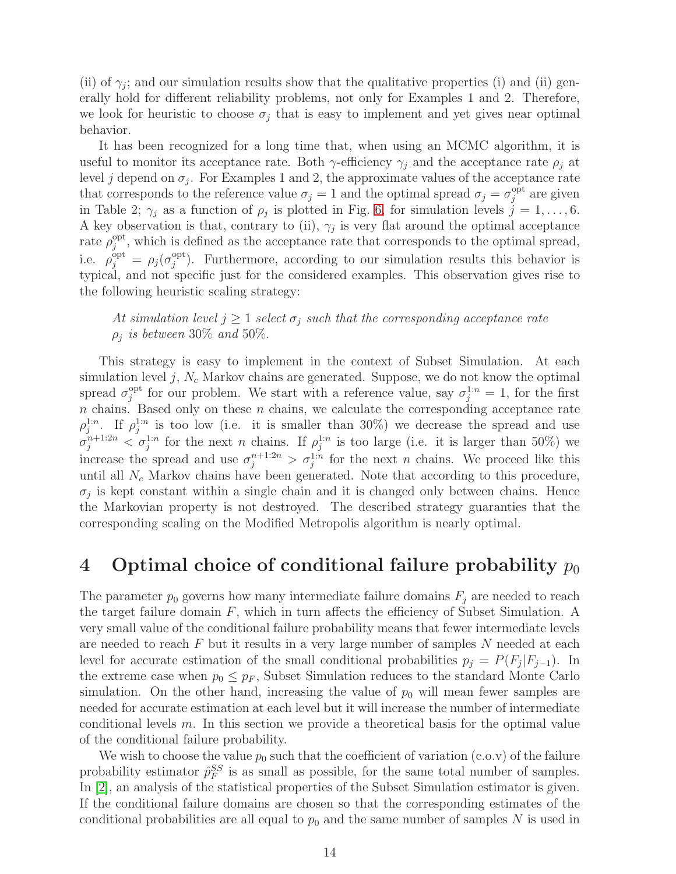(ii) of  $\gamma_j$ ; and our simulation results show that the qualitative properties (i) and (ii) generally hold for different reliability problems, not only for Examples 1 and 2. Therefore, we look for heuristic to choose  $\sigma_i$  that is easy to implement and yet gives near optimal behavior.

It has been recognized for a long time that, when using an MCMC algorithm, it is useful to monitor its acceptance rate. Both  $\gamma$ -efficiency  $\gamma_j$  and the acceptance rate  $\rho_j$  at level j depend on  $\sigma_j$ . For Examples 1 and 2, the approximate values of the acceptance rate that corresponds to the reference value  $\sigma_j = 1$  and the optimal spread  $\sigma_j = \sigma_j^{\text{opt}}$  $j^{\text{opt}}$  are given in Table 2;  $\gamma_j$  as a function of  $\rho_j$  is plotted in Fig. [6,](#page-31-0) for simulation levels  $j = 1, \ldots, 6$ . A key observation is that, contrary to (ii),  $\gamma_j$  is very flat around the optimal acceptance rate  $\rho_i^{\text{opt}}$  $j_j^{\text{opt}}$ , which is defined as the acceptance rate that corresponds to the optimal spread, i.e.  $\rho_j^{\text{opt}} = \rho_j(\sigma_j^{\text{opt}})$  $j<sup>opt</sup>$ ). Furthermore, according to our simulation results this behavior is typical, and not specific just for the considered examples. This observation gives rise to the following heuristic scaling strategy:

### At simulation level  $j \geq 1$  select  $\sigma_j$  such that the corresponding acceptance rate  $\rho_j$  is between  $30\%$  and  $50\%.$

This strategy is easy to implement in the context of Subset Simulation. At each simulation level  $j$ ,  $N_c$  Markov chains are generated. Suppose, we do not know the optimal spread  $\sigma_i^{\text{opt}}$ <sup>opt</sup> for our problem. We start with a reference value, say  $\sigma_j^{1:n} = 1$ , for the first  $n$  chains. Based only on these  $n$  chains, we calculate the corresponding acceptance rate  $\rho_j^{1:n}$ . If  $\rho_j^{1:n}$  is too low (i.e. it is smaller than 30%) we decrease the spread and use  $\sigma_j^{n+1:2n} < \sigma_j^{1:n}$  for the next n chains. If  $\rho_j^{1:n}$  is too large (i.e. it is larger than 50%) we increase the spread and use  $\sigma_j^{n+1:2n} > \sigma_j^{1:n}$  for the next n chains. We proceed like this until all  $N_c$  Markov chains have been generated. Note that according to this procedure,  $\sigma_j$  is kept constant within a single chain and it is changed only between chains. Hence the Markovian property is not destroyed. The described strategy guaranties that the corresponding scaling on the Modified Metropolis algorithm is nearly optimal.

## <span id="page-13-0"></span>4 Optimal choice of conditional failure probability  $p_0$

The parameter  $p_0$  governs how many intermediate failure domains  $F_i$  are needed to reach the target failure domain  $F$ , which in turn affects the efficiency of Subset Simulation. A very small value of the conditional failure probability means that fewer intermediate levels are needed to reach  $F$  but it results in a very large number of samples  $N$  needed at each level for accurate estimation of the small conditional probabilities  $p_j = P(F_j|F_{j-1})$ . In the extreme case when  $p_0 \leq p_F$ , Subset Simulation reduces to the standard Monte Carlo simulation. On the other hand, increasing the value of  $p_0$  will mean fewer samples are needed for accurate estimation at each level but it will increase the number of intermediate conditional levels  $m$ . In this section we provide a theoretical basis for the optimal value of the conditional failure probability.

We wish to choose the value  $p_0$  such that the coefficient of variation (c.o.v) of the failure probability estimator  $\hat{p}_F^{SS}$  is as small as possible, for the same total number of samples. In [\[2\]](#page-23-0), an analysis of the statistical properties of the Subset Simulation estimator is given. If the conditional failure domains are chosen so that the corresponding estimates of the conditional probabilities are all equal to  $p_0$  and the same number of samples N is used in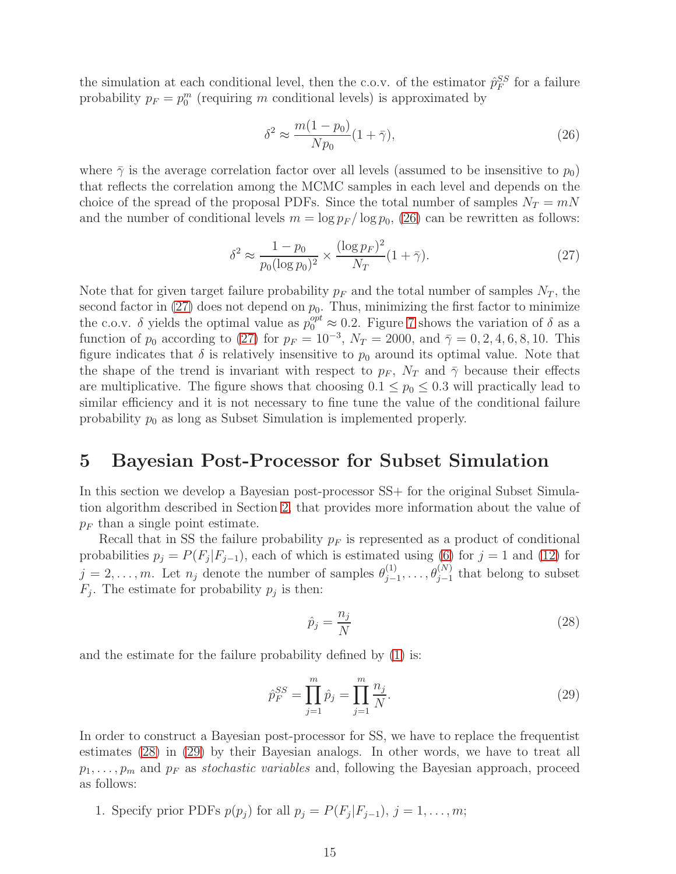the simulation at each conditional level, then the c.o.v. of the estimator  $\hat{p}_F^{SS}$  for a failure probability  $p_F = p_0^m$  (requiring m conditional levels) is approximated by

<span id="page-14-1"></span>
$$
\delta^2 \approx \frac{m(1 - p_0)}{N p_0} (1 + \bar{\gamma}),\tag{26}
$$

where  $\bar{\gamma}$  is the average correlation factor over all levels (assumed to be insensitive to  $p_0$ ) that reflects the correlation among the MCMC samples in each level and depends on the choice of the spread of the proposal PDFs. Since the total number of samples  $N_T = mN$ and the number of conditional levels  $m = \log p_F / \log p_0$ , [\(26\)](#page-14-1) can be rewritten as follows:

<span id="page-14-2"></span>
$$
\delta^2 \approx \frac{1 - p_0}{p_0 (\log p_0)^2} \times \frac{(\log p_F)^2}{N_T} (1 + \bar{\gamma}).
$$
\n(27)

Note that for given target failure probability  $p_F$  and the total number of samples  $N_T$ , the second factor in  $(27)$  does not depend on  $p_0$ . Thus, minimizing the first factor to minimize the c.o.v.  $\delta$  yields the optimal value as  $p_0^{opt} \approx 0.2$ . Figure [7](#page-32-0) shows the variation of  $\delta$  as a function of  $p_0$  according to [\(27\)](#page-14-2) for  $p_F = 10^{-3}$ ,  $N_T = 2000$ , and  $\bar{\gamma} = 0, 2, 4, 6, 8, 10$ . This figure indicates that  $\delta$  is relatively insensitive to  $p_0$  around its optimal value. Note that the shape of the trend is invariant with respect to  $p_F$ ,  $N_T$  and  $\bar{\gamma}$  because their effects are multiplicative. The figure shows that choosing  $0.1 \leq p_0 \leq 0.3$  will practically lead to similar efficiency and it is not necessary to fine tune the value of the conditional failure probability  $p_0$  as long as Subset Simulation is implemented properly.

## <span id="page-14-0"></span>5 Bayesian Post-Processor for Subset Simulation

In this section we develop a Bayesian post-processor SS+ for the original Subset Simulation algorithm described in Section [2,](#page-2-0) that provides more information about the value of  $p_F$  than a single point estimate.

Recall that in SS the failure probability  $p_F$  is represented as a product of conditional probabilities  $p_j = P(F_j|F_{j-1})$ , each of which is estimated using [\(6\)](#page-3-1) for  $j = 1$  and [\(12\)](#page-5-0) for  $j = 2, \ldots, m$ . Let  $n_j$  denote the number of samples  $\theta_{j-1}^{(1)}$  $j_{j-1}^{(1)}, \ldots, \theta_{j-1}^{(N)}$  that belong to subset  $F_j$ . The estimate for probability  $p_j$  is then:

<span id="page-14-3"></span>
$$
\hat{p}_j = \frac{n_j}{N} \tag{28}
$$

and the estimate for the failure probability defined by [\(1\)](#page-1-0) is:

<span id="page-14-4"></span>
$$
\hat{p}_F^{SS} = \prod_{j=1}^m \hat{p}_j = \prod_{j=1}^m \frac{n_j}{N}.
$$
\n(29)

In order to construct a Bayesian post-processor for SS, we have to replace the frequentist estimates [\(28\)](#page-14-3) in [\(29\)](#page-14-4) by their Bayesian analogs. In other words, we have to treat all  $p_1, \ldots, p_m$  and  $p_F$  as *stochastic variables* and, following the Bayesian approach, proceed as follows:

1. Specify prior PDFs  $p(p_j)$  for all  $p_j = P(F_j|F_{j-1}), j = 1, \ldots, m;$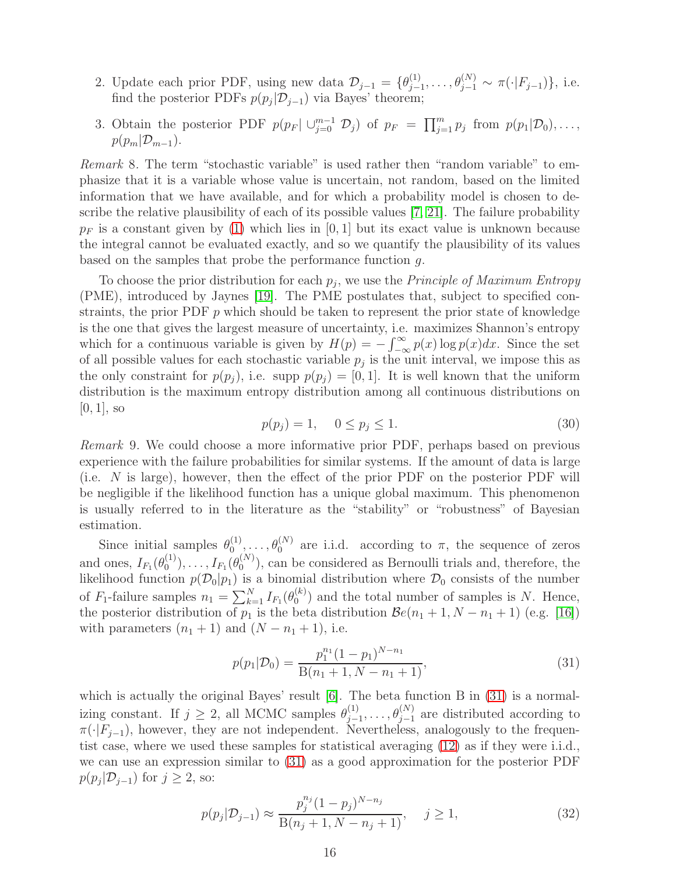- 2. Update each prior PDF, using new data  $\mathcal{D}_{j-1} = \{ \theta_{j-1}^{(1)} \}$  $_{j-1}^{(1)}, \ldots, \theta_{j-1}^{(N)} \sim \pi(\cdot|F_{j-1})\},$  i.e. find the posterior PDFs  $p(p_j | \mathcal{D}_{j-1})$  via Bayes' theorem;
- 3. Obtain the posterior PDF  $p(p_F | \bigcup_{j=0}^{m-1} \mathcal{D}_j)$  of  $p_F = \prod_{j=1}^m p_j$  from  $p(p_1 | \mathcal{D}_0), \ldots$ ,  $p(p_m|\mathcal{D}_{m-1}).$

Remark 8. The term "stochastic variable" is used rather then "random variable" to emphasize that it is a variable whose value is uncertain, not random, based on the limited information that we have available, and for which a probability model is chosen to describe the relative plausibility of each of its possible values [\[7,](#page-23-11) [21\]](#page-24-8). The failure probability  $p_F$  is a constant given by [\(1\)](#page-1-0) which lies in [0, 1] but its exact value is unknown because the integral cannot be evaluated exactly, and so we quantify the plausibility of its values based on the samples that probe the performance function g.

To choose the prior distribution for each  $p_j$ , we use the *Principle of Maximum Entropy* (PME), introduced by Jaynes [\[19\]](#page-24-12). The PME postulates that, subject to specified constraints, the prior PDF  $p$  which should be taken to represent the prior state of knowledge is the one that gives the largest measure of uncertainty, i.e. maximizes Shannon's entropy which for a continuous variable is given by  $H(p) = -\int_{-\infty}^{\infty} p(x) \log p(x) dx$ . Since the set of all possible values for each stochastic variable  $p_j$  is the unit interval, we impose this as the only constraint for  $p(p_i)$ , i.e. supp  $p(p_i) = [0, 1]$ . It is well known that the uniform distribution is the maximum entropy distribution among all continuous distributions on  $[0, 1]$ , so

$$
p(p_j) = 1, \quad 0 \le p_j \le 1. \tag{30}
$$

Remark 9. We could choose a more informative prior PDF, perhaps based on previous experience with the failure probabilities for similar systems. If the amount of data is large (i.e. N is large), however, then the effect of the prior PDF on the posterior PDF will be negligible if the likelihood function has a unique global maximum. This phenomenon is usually referred to in the literature as the "stability" or "robustness" of Bayesian estimation.

Since initial samples  $\theta_0^{(1)}$  $\theta_0^{(1)}, \ldots, \theta_0^{(N)}$  are i.i.d. according to  $\pi$ , the sequence of zeros and ones,  $I_{F_1}(\theta_0^{(1)})$  $\binom{10}{0},\ldots,I_{F_1}(\theta_0^{(N)})$  $\binom{N}{0}$ , can be considered as Bernoulli trials and, therefore, the likelihood function  $p(\mathcal{D}_0|p_1)$  is a binomial distribution where  $\mathcal{D}_0$  consists of the number of  $F_1$ -failure samples  $n_1 = \sum_{k=1}^{N} I_{F_1}(\theta_0^{(k)})$  $\binom{K}{0}$  and the total number of samples is N. Hence, the posterior distribution of  $p_1$  is the beta distribution  $\mathcal{B}e(n_1 + 1, N - n_1 + 1)$  (e.g. [\[16\]](#page-24-13)) with parameters  $(n_1 + 1)$  and  $(N - n_1 + 1)$ , i.e.

<span id="page-15-0"></span>
$$
p(p_1|\mathcal{D}_0) = \frac{p_1^{n_1}(1-p_1)^{N-n_1}}{\mathcal{B}(n_1+1, N-n_1+1)},
$$
\n(31)

which is actually the original Bayes' result [\[6\]](#page-23-6). The beta function B in [\(31\)](#page-15-0) is a normalizing constant. If  $j \geq 2$ , all MCMC samples  $\theta_{j-}^{(1)}$  $j_{j-1}^{(1)}, \ldots, \theta_{j-1}^{(N)}$  are distributed according to  $\pi(\cdot|F_{j-1})$ , however, they are not independent. Nevertheless, analogously to the frequentist case, where we used these samples for statistical averaging [\(12\)](#page-5-0) as if they were i.i.d., we can use an expression similar to [\(31\)](#page-15-0) as a good approximation for the posterior PDF  $p(p_j | \mathcal{D}_{j-1})$  for  $j \ge 2$ , so:

<span id="page-15-1"></span>
$$
p(p_j|\mathcal{D}_{j-1}) \approx \frac{p_j^{n_j}(1-p_j)^{N-n_j}}{\text{B}(n_j+1, N-n_j+1)}, \quad j \ge 1,
$$
\n(32)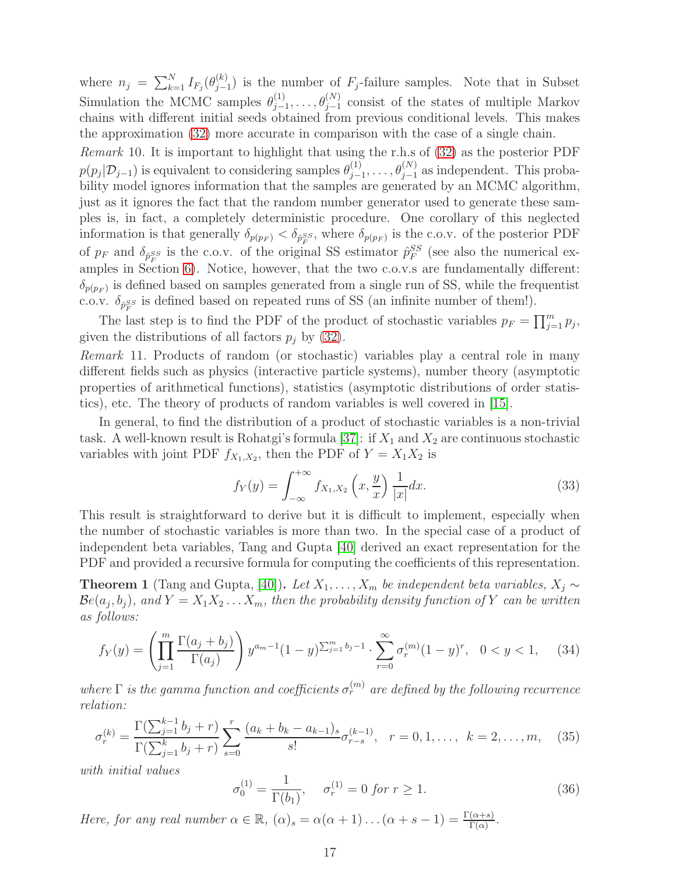where  $n_j = \sum_{k=1}^{N} I_{F_j}(\theta_{j-1}^{(k)})$  $j_{j-1}^{(k)}$ ) is the number of  $F_j$ -failure samples. Note that in Subset Simulation the MCMC samples  $\theta_{i-}^{(1)}$  $\theta_{j-1}^{(1)}, \ldots, \theta_{j-1}^{(N)}$  consist of the states of multiple Markov chains with different initial seeds obtained from previous conditional levels. This makes the approximation [\(32\)](#page-15-1) more accurate in comparison with the case of a single chain.

Remark 10. It is important to highlight that using the r.h.s of [\(32\)](#page-15-1) as the posterior PDF  $p(p_j | \mathcal{D}_{j-1})$  is equivalent to considering samples  $\theta_{j-1}^{(1)}$  $j_{j-1}^{(1)}, \ldots, \theta_{j-1}^{(N)}$  as independent. This probability model ignores information that the samples are generated by an MCMC algorithm, just as it ignores the fact that the random number generator used to generate these samples is, in fact, a completely deterministic procedure. One corollary of this neglected information is that generally  $\delta_{p(p_F)} < \delta_{\hat{p}_F^S}$ , where  $\delta_{p(p_F)}$  is the c.o.v. of the posterior PDF of  $p_F$  and  $\delta_{\hat{p}_F^{SS}}$  is the c.o.v. of the original SS estimator  $\hat{p}_F^{SS}$  (see also the numerical examples in Section [6\)](#page-19-0). Notice, however, that the two c.o.v.s are fundamentally different:  $\delta_{p(p_F)}$  is defined based on samples generated from a single run of SS, while the frequentist c.o.v.  $\delta_{\hat{p}_F^{SS}}$  is defined based on repeated runs of SS (an infinite number of them!).

The last step is to find the PDF of the product of stochastic variables  $p_F = \prod_{j=1}^m p_j$ , given the distributions of all factors  $p_j$  by [\(32\)](#page-15-1).

Remark 11. Products of random (or stochastic) variables play a central role in many different fields such as physics (interactive particle systems), number theory (asymptotic properties of arithmetical functions), statistics (asymptotic distributions of order statistics), etc. The theory of products of random variables is well covered in [\[15\]](#page-23-12).

In general, to find the distribution of a product of stochastic variables is a non-trivial task. A well-known result is Rohatgi's formula [\[37\]](#page-25-8): if  $X_1$  and  $X_2$  are continuous stochastic variables with joint PDF  $f_{X_1,X_2}$ , then the PDF of  $Y = X_1X_2$  is

$$
f_Y(y) = \int_{-\infty}^{+\infty} f_{X_1, X_2} \left( x, \frac{y}{x} \right) \frac{1}{|x|} dx.
$$
 (33)

This result is straightforward to derive but it is difficult to implement, especially when the number of stochastic variables is more than two. In the special case of a product of independent beta variables, Tang and Gupta [\[40\]](#page-25-9) derived an exact representation for the PDF and provided a recursive formula for computing the coefficients of this representation.

**Theorem 1** (Tang and Gupta, [\[40\]](#page-25-9)). Let  $X_1, \ldots, X_m$  be independent beta variables,  $X_i \sim$  $\mathcal{B}e(a_j,b_j),$  and  $Y=X_1X_2\ldots X_m,$  then the probability density function of  $Y$  can be written as follows:

<span id="page-16-0"></span>
$$
f_Y(y) = \left(\prod_{j=1}^m \frac{\Gamma(a_j + b_j)}{\Gamma(a_j)}\right) y^{a_m - 1} (1 - y)^{\sum_{j=1}^m b_j - 1} \cdot \sum_{r=0}^\infty \sigma_r^{(m)} (1 - y)^r, \quad 0 < y < 1,\tag{34}
$$

where  $\Gamma$  is the gamma function and coefficients  $\sigma_r^{(m)}$  are defined by the following recurrence relation:

$$
\sigma_r^{(k)} = \frac{\Gamma(\sum_{j=1}^{k-1} b_j + r)}{\Gamma(\sum_{j=1}^k b_j + r)} \sum_{s=0}^r \frac{(a_k + b_k - a_{k-1})_s}{s!} \sigma_{r-s}^{(k-1)}, \quad r = 0, 1, \dots, \quad k = 2, \dots, m,
$$
 (35)

with initial values

$$
\sigma_0^{(1)} = \frac{1}{\Gamma(b_1)}, \quad \sigma_r^{(1)} = 0 \text{ for } r \ge 1.
$$
\n(36)

Here, for any real number  $\alpha \in \mathbb{R}$ ,  $(\alpha)_s = \alpha(\alpha + 1) \dots (\alpha + s - 1) = \frac{\Gamma(\alpha + s)}{\Gamma(\alpha)}$ .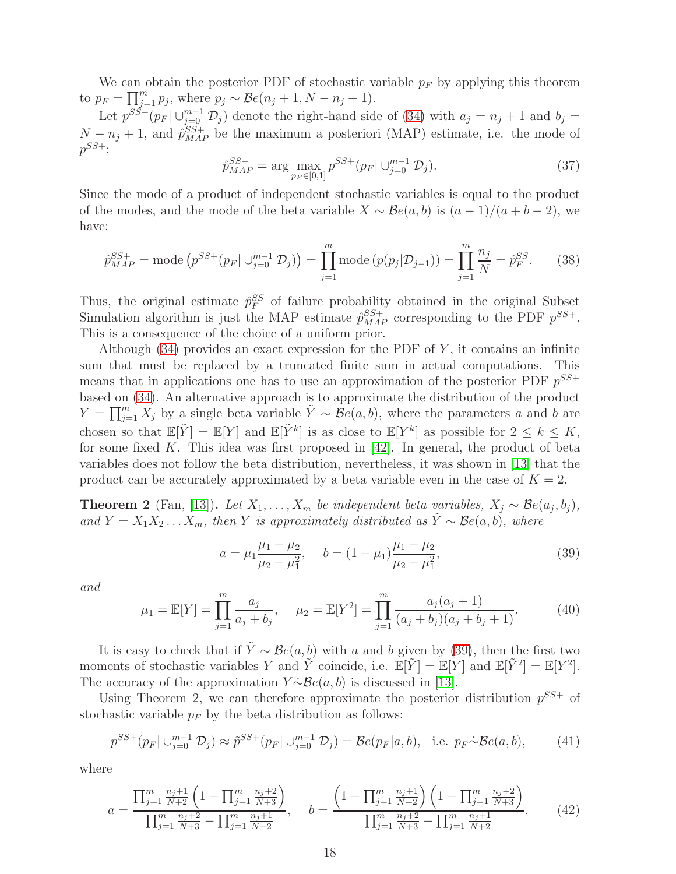We can obtain the posterior PDF of stochastic variable  $p_F$  by applying this theorem to  $p_F = \prod_{j=1}^m p_j$ , where  $p_j \sim \mathcal{B}e(n_j + 1, N - n_j + 1)$ .

Let  $p^{SS+}(p_F | \cup_{j=0}^{m-1} \mathcal{D}_j)$  denote the right-hand side of [\(34\)](#page-16-0) with  $a_j = n_j + 1$  and  $b_j =$  $N - n_j + 1$ , and  $\hat{p}_{MAP}^{SS+}$  be the maximum a posteriori (MAP) estimate, i.e. the mode of  $p^{SS+}\colon$ 

$$
\hat{p}_{MAP}^{SS+} = \arg \max_{p_F \in [0,1]} p^{SS+} (p_F | \cup_{j=0}^{m-1} \mathcal{D}_j). \tag{37}
$$

Since the mode of a product of independent stochastic variables is equal to the product of the modes, and the mode of the beta variable  $X \sim \mathcal{B}e(a, b)$  is  $(a-1)/(a+b-2)$ , we have:

<span id="page-17-2"></span>
$$
\hat{p}_{MAP}^{SS+} = \text{mode}\left(p^{SS+}(p_F \mid \bigcup_{j=0}^{m-1} \mathcal{D}_j)\right) = \prod_{j=1}^{m} \text{mode}\left(p(p_j \mid \mathcal{D}_{j-1})\right) = \prod_{j=1}^{m} \frac{n_j}{N} = \hat{p}_F^{SS}.
$$
 (38)

Thus, the original estimate  $\hat{p}_F^{SS}$  of failure probability obtained in the original Subset Simulation algorithm is just the MAP estimate  $\hat{p}_{MAP}^{SS+}$  corresponding to the PDF  $p^{SS+}$ . This is a consequence of the choice of a uniform prior.

Although  $(34)$  provides an exact expression for the PDF of Y, it contains an infinite sum that must be replaced by a truncated finite sum in actual computations. This means that in applications one has to use an approximation of the posterior PDF  $p^{SS+}$ based on [\(34\)](#page-16-0). An alternative approach is to approximate the distribution of the product  $Y = \prod_{j=1}^{m} X_j$  by a single beta variable  $\tilde{Y} \sim \mathcal{B}e(a, b)$ , where the parameters a and b are chosen so that  $\mathbb{E}[\tilde{Y}] = \mathbb{E}[Y]$  and  $\mathbb{E}[\tilde{Y}^k]$  is as close to  $\mathbb{E}[Y^k]$  as possible for  $2 \le k \le K$ , for some fixed K. This idea was first proposed in  $[42]$ . In general, the product of beta variables does not follow the beta distribution, nevertheless, it was shown in [\[13\]](#page-23-13) that the product can be accurately approximated by a beta variable even in the case of  $K = 2$ .

**Theorem 2** (Fan, [\[13\]](#page-23-13)). Let  $X_1, \ldots, X_m$  be independent beta variables,  $X_j \sim \mathcal{B}e(a_j, b_j)$ , and  $Y = X_1X_2...X_m$ , then Y is approximately distributed as  $\tilde{Y} \sim \mathcal{B}e(a, b)$ , where

<span id="page-17-0"></span>
$$
a = \mu_1 \frac{\mu_1 - \mu_2}{\mu_2 - \mu_1^2}, \quad b = (1 - \mu_1) \frac{\mu_1 - \mu_2}{\mu_2 - \mu_1^2},
$$
\n(39)

and

$$
\mu_1 = \mathbb{E}[Y] = \prod_{j=1}^m \frac{a_j}{a_j + b_j}, \quad \mu_2 = \mathbb{E}[Y^2] = \prod_{j=1}^m \frac{a_j(a_j + 1)}{(a_j + b_j)(a_j + b_j + 1)}.
$$
 (40)

It is easy to check that if  $\tilde{Y} \sim \mathcal{B}e(a, b)$  with a and b given by [\(39\)](#page-17-0), then the first two moments of stochastic variables Y and  $\tilde{Y}$  coincide, i.e.  $\mathbb{E}[\tilde{Y}] = \mathbb{E}[Y]$  and  $\mathbb{E}[\tilde{Y}^2] = \mathbb{E}[Y^2]$ . The accuracy of the approximation  $Y \sim \mathcal{B}e(a, b)$  is discussed in [\[13\]](#page-23-13).

Using Theorem 2, we can therefore approximate the posterior distribution  $p^{SS+}$  of stochastic variable  $p_F$  by the beta distribution as follows:

<span id="page-17-1"></span>
$$
p^{SS+}(p_F|\cup_{j=0}^{m-1} \mathcal{D}_j) \approx \tilde{p}^{SS+}(p_F|\cup_{j=0}^{m-1} \mathcal{D}_j) = \mathcal{B}e(p_F|a,b), \text{ i.e. } p_F \sim \mathcal{B}e(a,b), \quad (41)
$$

where

$$
a = \frac{\prod_{j=1}^{m} \frac{n_j+1}{N+2} \left(1 - \prod_{j=1}^{m} \frac{n_j+2}{N+3}\right)}{\prod_{j=1}^{m} \frac{n_j+2}{N+3} - \prod_{j=1}^{m} \frac{n_j+1}{N+2}}, \quad b = \frac{\left(1 - \prod_{j=1}^{m} \frac{n_j+1}{N+2}\right) \left(1 - \prod_{j=1}^{m} \frac{n_j+2}{N+3}\right)}{\prod_{j=1}^{m} \frac{n_j+2}{N+3} - \prod_{j=1}^{m} \frac{n_j+1}{N+2}}.
$$
(42)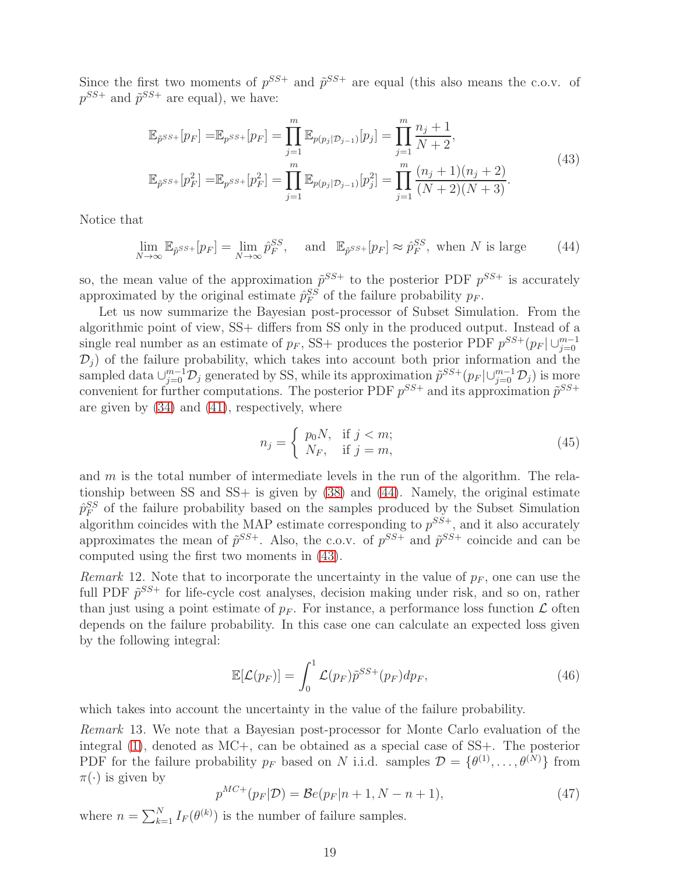Since the first two moments of  $p^{SS+}$  and  $\tilde{p}^{SS+}$  are equal (this also means the c.o.v. of  $p^{SS+}$  and  $\tilde{p}^{SS+}$  are equal), we have:

$$
\mathbb{E}_{\tilde{p}^{SS+}}[p_F] = \mathbb{E}_{p^{SS+}}[p_F] = \prod_{j=1}^{m} \mathbb{E}_{p(p_j|\mathcal{D}_{j-1})}[p_j] = \prod_{j=1}^{m} \frac{n_j+1}{N+2},
$$
\n
$$
\mathbb{E}_{\tilde{p}^{SS+}}[p_F^2] = \mathbb{E}_{p^{SS+}}[p_F^2] = \prod_{j=1}^{m} \mathbb{E}_{p(p_j|\mathcal{D}_{j-1})}[p_j^2] = \prod_{j=1}^{m} \frac{(n_j+1)(n_j+2)}{(N+2)(N+3)}.
$$
\n(43)

<span id="page-18-1"></span>Notice that

<span id="page-18-0"></span>
$$
\lim_{N \to \infty} \mathbb{E}_{\tilde{p}^{SS+}}[p_F] = \lim_{N \to \infty} \hat{p}_F^{SS}, \quad \text{and} \quad \mathbb{E}_{\tilde{p}^{SS+}}[p_F] \approx \hat{p}_F^{SS}, \text{ when } N \text{ is large} \tag{44}
$$

so, the mean value of the approximation  $\tilde{p}^{SS+}$  to the posterior PDF  $p^{SS+}$  is accurately approximated by the original estimate  $\hat{p}_F^{SS}$  of the failure probability  $p_F$ .

Let us now summarize the Bayesian post-processor of Subset Simulation. From the algorithmic point of view, SS+ differs from SS only in the produced output. Instead of a single real number as an estimate of  $p_F$ , SS+ produces the posterior PDF  $p^{SS+}(p_F | U_{j=0}^{m-1})$  $(\mathcal{D}_j)$  of the failure probability, which takes into account both prior information and the sampled data  $\cup_{j=0}^{m-1} \mathcal{D}_j$  generated by SS, while its approximation  $\tilde{p}^{SS+}(p_F | \cup_{j=0}^{m-1} \mathcal{D}_j)$  is more convenient for further computations. The posterior PDF  $p^{SS+}$  and its approximation  $\tilde{p}^{SS+}$ are given by [\(34\)](#page-16-0) and [\(41\)](#page-17-1), respectively, where

$$
n_j = \begin{cases} p_0 N, & \text{if } j < m; \\ N_F, & \text{if } j = m, \end{cases}
$$
 (45)

and m is the total number of intermediate levels in the run of the algorithm. The relationship between SS and SS+ is given by [\(38\)](#page-17-2) and [\(44\)](#page-18-0). Namely, the original estimate  $\hat{p}_F^{SS}$  of the failure probability based on the samples produced by the Subset Simulation algorithm coincides with the MAP estimate corresponding to  $p^{SS+}$ , and it also accurately approximates the mean of  $\tilde{p}^{SS+}$ . Also, the c.o.v. of  $p^{SS+}$  and  $\tilde{p}^{SS+}$  coincide and can be computed using the first two moments in [\(43\)](#page-18-1).

Remark 12. Note that to incorporate the uncertainty in the value of  $p_F$ , one can use the full PDF  $\tilde{p}^{SS+}$  for life-cycle cost analyses, decision making under risk, and so on, rather than just using a point estimate of  $p_F$ . For instance, a performance loss function  $\mathcal L$  often depends on the failure probability. In this case one can calculate an expected loss given by the following integral:

$$
\mathbb{E}[\mathcal{L}(p_F)] = \int_0^1 \mathcal{L}(p_F) \tilde{p}^{SS+}(p_F) dp_F,
$$
\n(46)

which takes into account the uncertainty in the value of the failure probability.

Remark 13. We note that a Bayesian post-processor for Monte Carlo evaluation of the integral [\(1\)](#page-1-0), denoted as MC+, can be obtained as a special case of SS+. The posterior PDF for the failure probability  $p_F$  based on N i.i.d. samples  $\mathcal{D} = \{\theta^{(1)}, \dots, \theta^{(N)}\}$  from  $\pi(\cdot)$  is given by

$$
p^{MC+}(p_F|\mathcal{D}) = \mathcal{B}e(p_F|n+1, N-n+1),\tag{47}
$$

where  $n = \sum_{k=1}^{N} I_F(\theta^{(k)})$  is the number of failure samples.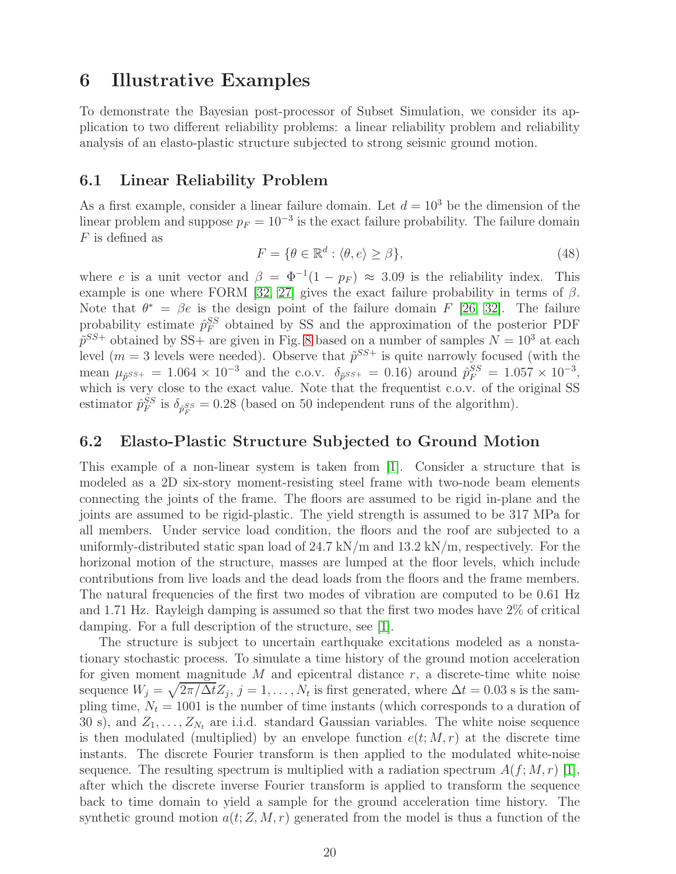## <span id="page-19-0"></span>6 Illustrative Examples

To demonstrate the Bayesian post-processor of Subset Simulation, we consider its application to two different reliability problems: a linear reliability problem and reliability analysis of an elasto-plastic structure subjected to strong seismic ground motion.

### 6.1 Linear Reliability Problem

As a first example, consider a linear failure domain. Let  $d = 10^3$  be the dimension of the linear problem and suppose  $p_F = 10^{-3}$  is the exact failure probability. The failure domain  $F$  is defined as

$$
F = \{ \theta \in \mathbb{R}^d : \langle \theta, e \rangle \ge \beta \},\tag{48}
$$

where e is a unit vector and  $\beta = \Phi^{-1}(1 - p_F) \approx 3.09$  is the reliability index. This example is one where FORM [\[32,](#page-25-11) [27\]](#page-24-14) gives the exact failure probability in terms of  $\beta$ . Note that  $\theta^* = \beta e$  is the design point of the failure domain F [\[26,](#page-24-10) [32\]](#page-25-11). The failure probability estimate  $\hat{p}_F^{SS}$  obtained by SS and the approximation of the posterior PDF  $\tilde{p}^{SS+}$  obtained by SS+ are given in Fig. [8](#page-33-0) based on a number of samples  $N = 10^3$  at each level ( $m=3$  levels were needed). Observe that  $\tilde{p}^{SS+}$  is quite narrowly focused (with the mean  $\mu_{\tilde{p}^{SS+}} = 1.064 \times 10^{-3}$  and the c.o.v.  $\delta_{\tilde{p}^{SS+}} = 0.16$ ) around  $\hat{p}_F^{SS} = 1.057 \times 10^{-3}$ , which is very close to the exact value. Note that the frequentist c.o.v. of the original SS estimator  $\hat{p}_F^{SS}$  is  $\delta_{\hat{p}_F^{SS}} = 0.28$  (based on 50 independent runs of the algorithm).

### 6.2 Elasto-Plastic Structure Subjected to Ground Motion

This example of a non-linear system is taken from [\[1\]](#page-23-14). Consider a structure that is modeled as a 2D six-story moment-resisting steel frame with two-node beam elements connecting the joints of the frame. The floors are assumed to be rigid in-plane and the joints are assumed to be rigid-plastic. The yield strength is assumed to be 317 MPa for all members. Under service load condition, the floors and the roof are subjected to a uniformly-distributed static span load of  $24.7 \text{ kN/m}$  and  $13.2 \text{ kN/m}$ , respectively. For the horizonal motion of the structure, masses are lumped at the floor levels, which include contributions from live loads and the dead loads from the floors and the frame members. The natural frequencies of the first two modes of vibration are computed to be 0.61 Hz and 1.71 Hz. Rayleigh damping is assumed so that the first two modes have 2% of critical damping. For a full description of the structure, see [\[1\]](#page-23-14).

The structure is subject to uncertain earthquake excitations modeled as a nonstationary stochastic process. To simulate a time history of the ground motion acceleration for given moment magnitude  $M$  and epicentral distance  $r$ , a discrete-time white noise sequence  $W_j = \sqrt{2\pi/\Delta t} Z_j$ ,  $j = 1, ..., N_t$  is first generated, where  $\Delta t = 0.03$  s is the sampling time,  $N_t = 1001$  is the number of time instants (which corresponds to a duration of 30 s), and  $Z_1, \ldots, Z_{N_t}$  are i.i.d. standard Gaussian variables. The white noise sequence is then modulated (multiplied) by an envelope function  $e(t; M, r)$  at the discrete time instants. The discrete Fourier transform is then applied to the modulated white-noise sequence. The resulting spectrum is multiplied with a radiation spectrum  $A(f; M, r)$  [\[1\]](#page-23-14), after which the discrete inverse Fourier transform is applied to transform the sequence back to time domain to yield a sample for the ground acceleration time history. The synthetic ground motion  $a(t; Z, M, r)$  generated from the model is thus a function of the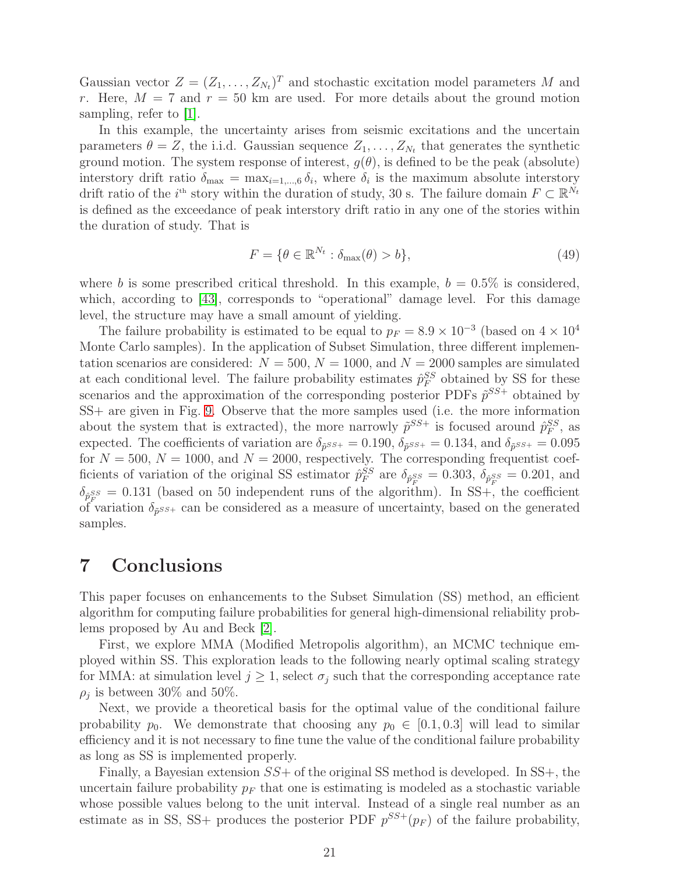Gaussian vector  $Z = (Z_1, \ldots, Z_{N_t})^T$  and stochastic excitation model parameters M and r. Here,  $M = 7$  and  $r = 50$  km are used. For more details about the ground motion sampling, refer to [\[1\]](#page-23-14).

In this example, the uncertainty arises from seismic excitations and the uncertain parameters  $\theta = Z$ , the i.i.d. Gaussian sequence  $Z_1, \ldots, Z_{N_t}$  that generates the synthetic ground motion. The system response of interest,  $g(\theta)$ , is defined to be the peak (absolute) interstory drift ratio  $\delta_{\max} = \max_{i=1,\dots,6} \delta_i$ , where  $\delta_i$  is the maximum absolute interstory drift ratio of the i<sup>th</sup> story within the duration of study, 30 s. The failure domain  $F \subset \mathbb{R}^{N_t}$ is defined as the exceedance of peak interstory drift ratio in any one of the stories within the duration of study. That is

$$
F = \{ \theta \in \mathbb{R}^{N_t} : \delta_{\text{max}}(\theta) > b \},\tag{49}
$$

where b is some prescribed critical threshold. In this example,  $b = 0.5\%$  is considered, which, according to [\[43\]](#page-25-12), corresponds to "operational" damage level. For this damage level, the structure may have a small amount of yielding.

The failure probability is estimated to be equal to  $p_F = 8.9 \times 10^{-3}$  (based on  $4 \times 10^4$ ) Monte Carlo samples). In the application of Subset Simulation, three different implementation scenarios are considered:  $N = 500$ ,  $N = 1000$ , and  $N = 2000$  samples are simulated at each conditional level. The failure probability estimates  $\hat{p}_F^{SS}$  obtained by SS for these scenarios and the approximation of the corresponding posterior PDFs  $\tilde{p}^{SS+}$  obtained by SS+ are given in Fig. [9.](#page-34-0) Observe that the more samples used (i.e. the more information about the system that is extracted), the more narrowly  $\tilde{p}^{SS+}$  is focused around  $\tilde{p}_F^{SS}$ , as expected. The coefficients of variation are  $\delta_{\tilde{p}^{SS+}} = 0.190$ ,  $\delta_{\tilde{p}^{SS+}} = 0.134$ , and  $\delta_{\tilde{p}^{SS+}} = 0.095$ for  $N = 500$ ,  $N = 1000$ , and  $N = 2000$ , respectively. The corresponding frequentist coefficients of variation of the original SS estimator  $\hat{p}_F^{SS}$  are  $\delta_{\hat{p}_F^{SS}} = 0.303$ ,  $\delta_{\hat{p}_F^{SS}} = 0.201$ , and  $\delta_{\hat{p}_F^{SS}} = 0.131$  (based on 50 independent runs of the algorithm). In SS+, the coefficient of variation  $\delta_{\tilde{p}^{SS+}}$  can be considered as a measure of uncertainty, based on the generated samples.

## 7 Conclusions

This paper focuses on enhancements to the Subset Simulation (SS) method, an efficient algorithm for computing failure probabilities for general high-dimensional reliability problems proposed by Au and Beck [\[2\]](#page-23-0).

First, we explore MMA (Modified Metropolis algorithm), an MCMC technique employed within SS. This exploration leads to the following nearly optimal scaling strategy for MMA: at simulation level  $j \geq 1$ , select  $\sigma_j$  such that the corresponding acceptance rate  $\rho_j$  is between 30% and 50%.

Next, we provide a theoretical basis for the optimal value of the conditional failure probability  $p_0$ . We demonstrate that choosing any  $p_0 \in [0.1, 0.3]$  will lead to similar efficiency and it is not necessary to fine tune the value of the conditional failure probability as long as SS is implemented properly.

Finally, a Bayesian extension  $SS+$  of the original SS method is developed. In  $SS+$ , the uncertain failure probability  $p_F$  that one is estimating is modeled as a stochastic variable whose possible values belong to the unit interval. Instead of a single real number as an estimate as in SS, SS+ produces the posterior PDF  $p^{SS+}(p_F)$  of the failure probability,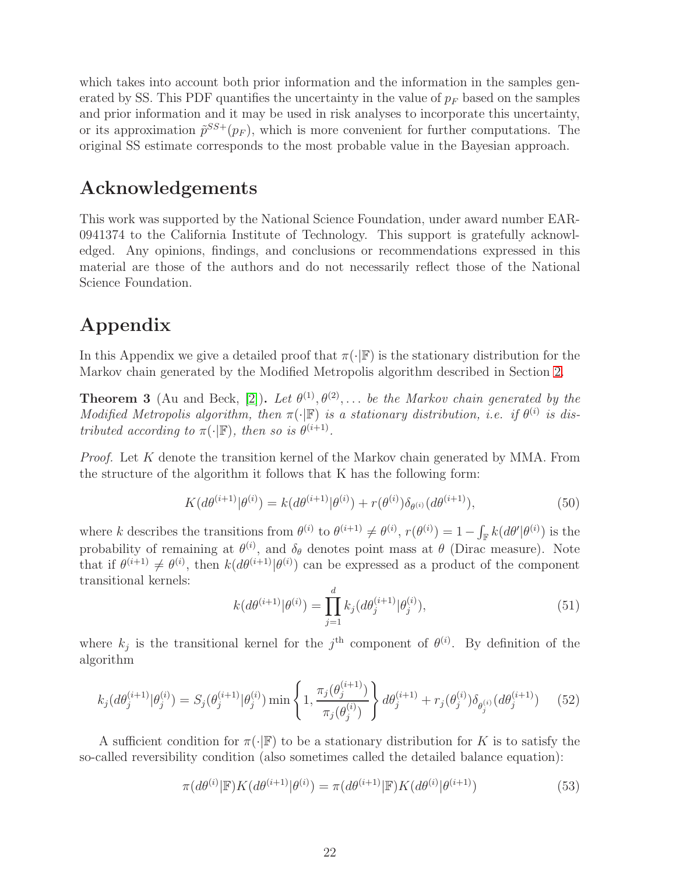which takes into account both prior information and the information in the samples generated by SS. This PDF quantifies the uncertainty in the value of  $p_F$  based on the samples and prior information and it may be used in risk analyses to incorporate this uncertainty, or its approximation  $\tilde{p}^{SS+}(p_F)$ , which is more convenient for further computations. The original SS estimate corresponds to the most probable value in the Bayesian approach.

## Acknowledgements

This work was supported by the National Science Foundation, under award number EAR-0941374 to the California Institute of Technology. This support is gratefully acknowledged. Any opinions, findings, and conclusions or recommendations expressed in this material are those of the authors and do not necessarily reflect those of the National Science Foundation.

# Appendix

In this Appendix we give a detailed proof that  $\pi(\cdot|\mathbb{F})$  is the stationary distribution for the Markov chain generated by the Modified Metropolis algorithm described in Section [2.](#page-2-0)

**Theorem 3** (Au and Beck, [\[2\]](#page-23-0)). Let  $\theta^{(1)}, \theta^{(2)}, \ldots$  be the Markov chain generated by the Modified Metropolis algorithm, then  $\pi(\cdot|\mathbb{F})$  is a stationary distribution, i.e. if  $\theta^{(i)}$  is distributed according to  $\pi(\cdot | \mathbb{F})$ , then so is  $\theta^{(i+1)}$ .

Proof. Let K denote the transition kernel of the Markov chain generated by MMA. From the structure of the algorithm it follows that K has the following form:

<span id="page-21-1"></span>
$$
K(d\theta^{(i+1)}|\theta^{(i)}) = k(d\theta^{(i+1)}|\theta^{(i)}) + r(\theta^{(i)})\delta_{\theta^{(i)}}(d\theta^{(i+1)}),
$$
\n(50)

where k describes the transitions from  $\theta^{(i)}$  to  $\theta^{(i+1)} \neq \theta^{(i)}$ ,  $r(\theta^{(i)}) = 1 - \int_{\mathbb{F}} k(d\theta'|\theta^{(i)})$  is the probability of remaining at  $\theta^{(i)}$ , and  $\delta_{\theta}$  denotes point mass at  $\theta$  (Dirac measure). Note that if  $\theta^{(i+1)} \neq \theta^{(i)}$ , then  $k(d\theta^{(i+1)}|\theta^{(i)})$  can be expressed as a product of the component transitional kernels:

<span id="page-21-2"></span>
$$
k(d\theta^{(i+1)}|\theta^{(i)}) = \prod_{j=1}^{d} k_j(d\theta_j^{(i+1)}|\theta_j^{(i)}),
$$
\n(51)

where  $k_j$  is the transitional kernel for the  $j^{\text{th}}$  component of  $\theta^{(i)}$ . By definition of the algorithm

<span id="page-21-3"></span>
$$
k_j(d\theta_j^{(i+1)}|\theta_j^{(i)}) = S_j(\theta_j^{(i+1)}|\theta_j^{(i)}) \min\left\{1, \frac{\pi_j(\theta_j^{(i+1)})}{\pi_j(\theta_j^{(i)})}\right\} d\theta_j^{(i+1)} + r_j(\theta_j^{(i)}) \delta_{\theta_j^{(i)}}(d\theta_j^{(i+1)}) \tag{52}
$$

A sufficient condition for  $\pi(\cdot|\mathbb{F})$  to be a stationary distribution for K is to satisfy the so-called reversibility condition (also sometimes called the detailed balance equation):

<span id="page-21-0"></span>
$$
\pi(d\theta^{(i)}|\mathbb{F})K(d\theta^{(i+1)}|\theta^{(i)}) = \pi(d\theta^{(i+1)}|\mathbb{F})K(d\theta^{(i)}|\theta^{(i+1)})
$$
\n(53)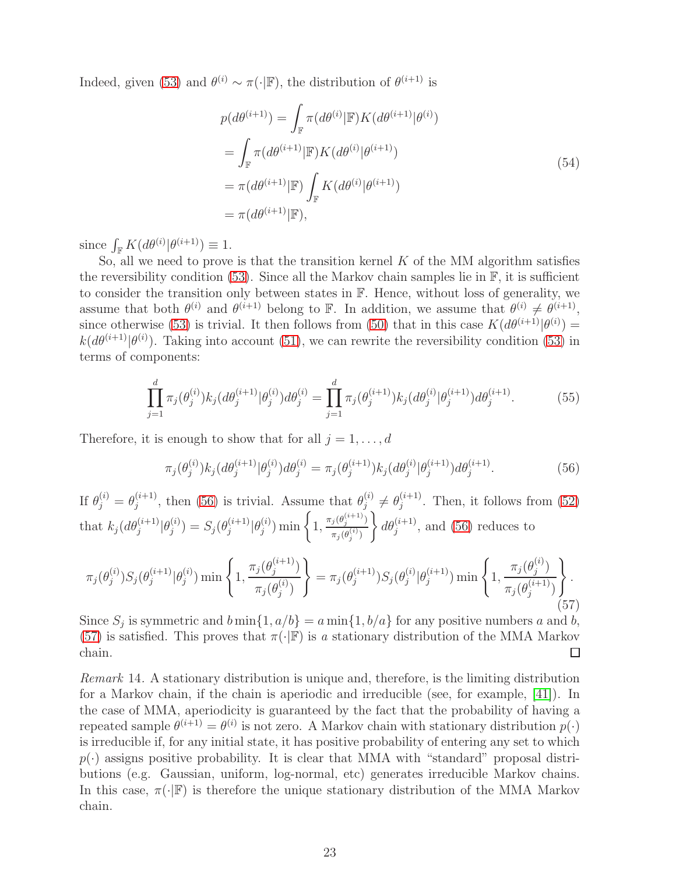Indeed, given [\(53\)](#page-21-0) and  $\theta^{(i)} \sim \pi(\cdot | \mathbb{F})$ , the distribution of  $\theta^{(i+1)}$  is

$$
p(d\theta^{(i+1)}) = \int_{\mathbb{F}} \pi(d\theta^{(i)} | \mathbb{F}) K(d\theta^{(i+1)} | \theta^{(i)})
$$
  
\n
$$
= \int_{\mathbb{F}} \pi(d\theta^{(i+1)} | \mathbb{F}) K(d\theta^{(i)} | \theta^{(i+1)})
$$
  
\n
$$
= \pi(d\theta^{(i+1)} | \mathbb{F}) \int_{\mathbb{F}} K(d\theta^{(i)} | \theta^{(i+1)})
$$
  
\n
$$
= \pi(d\theta^{(i+1)} | \mathbb{F}),
$$
\n(54)

since  $\int_{\mathbb{F}} K(d\theta^{(i)}|\theta^{(i+1)}) \equiv 1.$ 

So, all we need to prove is that the transition kernel  $K$  of the MM algorithm satisfies the reversibility condition [\(53\)](#page-21-0). Since all the Markov chain samples lie in  $\mathbb{F}$ , it is sufficient to consider the transition only between states in F. Hence, without loss of generality, we assume that both  $\theta^{(i)}$  and  $\theta^{(i+1)}$  belong to F. In addition, we assume that  $\theta^{(i)} \neq \theta^{(i+1)}$ , since otherwise [\(53\)](#page-21-0) is trivial. It then follows from [\(50\)](#page-21-1) that in this case  $K(d\theta^{(i+1)}|\theta^{(i)}) =$  $k(d\theta^{(i+1)}|\theta^{(i)})$ . Taking into account [\(51\)](#page-21-2), we can rewrite the reversibility condition [\(53\)](#page-21-0) in terms of components:

$$
\prod_{j=1}^{d} \pi_j(\theta_j^{(i)}) k_j(d\theta_j^{(i+1)} | \theta_j^{(i)}) d\theta_j^{(i)} = \prod_{j=1}^{d} \pi_j(\theta_j^{(i+1)}) k_j(d\theta_j^{(i)} | \theta_j^{(i+1)}) d\theta_j^{(i+1)}.
$$
\n(55)

Therefore, it is enough to show that for all  $j = 1, \ldots, d$ 

<span id="page-22-0"></span>
$$
\pi_j(\theta_j^{(i)}) k_j(d\theta_j^{(i+1)} | \theta_j^{(i)}) d\theta_j^{(i)} = \pi_j(\theta_j^{(i+1)}) k_j(d\theta_j^{(i)} | \theta_j^{(i+1)}) d\theta_j^{(i+1)}.
$$
\n(56)

If  $\theta_j^{(i)} = \theta_j^{(i+1)}$  $j_j^{(i+1)}$ , then [\(56\)](#page-22-0) is trivial. Assume that  $\theta_j^{(i)}$  $\theta_j^{(i)} \neq \theta_j^{(i+1)}$  $j^{(i+1)}$ . Then, it follows from  $(52)$ that  $k_j(d\theta_j^{(i+1)}|\theta_j^{(i)})$  $j^{(i)}_j$ ) =  $S_j(\theta_j^{(i+1)})$  $_{j}^{(i+1)} | \theta_{j}^{(i)}$ (i) min  $\left\{1, \frac{\pi_j(\theta_j^{(i+1)})}{\pi_j(\theta_j^{(i)})}\right\}$  $\pi_j(\theta_j^{(i)})$  $\left\{ d\theta_j^{(i+1)}, \text{ and } (56) \text{ reduces to }\right\}$  $\left\{ d\theta_j^{(i+1)}, \text{ and } (56) \text{ reduces to }\right\}$  $\left\{ d\theta_j^{(i+1)}, \text{ and } (56) \text{ reduces to }\right\}$ 

<span id="page-22-1"></span>
$$
\pi_j(\theta_j^{(i)}) S_j(\theta_j^{(i+1)} | \theta_j^{(i)}) \min\left\{1, \frac{\pi_j(\theta_j^{(i+1)})}{\pi_j(\theta_j^{(i)})}\right\} = \pi_j(\theta_j^{(i+1)}) S_j(\theta_j^{(i)} | \theta_j^{(i+1)}) \min\left\{1, \frac{\pi_j(\theta_j^{(i)})}{\pi_j(\theta_j^{(i+1)})}\right\}.
$$
\n(57)

Since  $S_j$  is symmetric and  $b \min\{1, a/b\} = a \min\{1, b/a\}$  for any positive numbers a and b, [\(57\)](#page-22-1) is satisfied. This proves that  $\pi(\cdot|\mathbb{F})$  is a stationary distribution of the MMA Markov chain. chain.

Remark 14. A stationary distribution is unique and, therefore, is the limiting distribution for a Markov chain, if the chain is aperiodic and irreducible (see, for example, [\[41\]](#page-25-13)). In the case of MMA, aperiodicity is guaranteed by the fact that the probability of having a repeated sample  $\theta^{(i+1)} = \theta^{(i)}$  is not zero. A Markov chain with stationary distribution  $p(\cdot)$ is irreducible if, for any initial state, it has positive probability of entering any set to which  $p(\cdot)$  assigns positive probability. It is clear that MMA with "standard" proposal distributions (e.g. Gaussian, uniform, log-normal, etc) generates irreducible Markov chains. In this case,  $\pi(\cdot|\mathbb{F})$  is therefore the unique stationary distribution of the MMA Markov chain.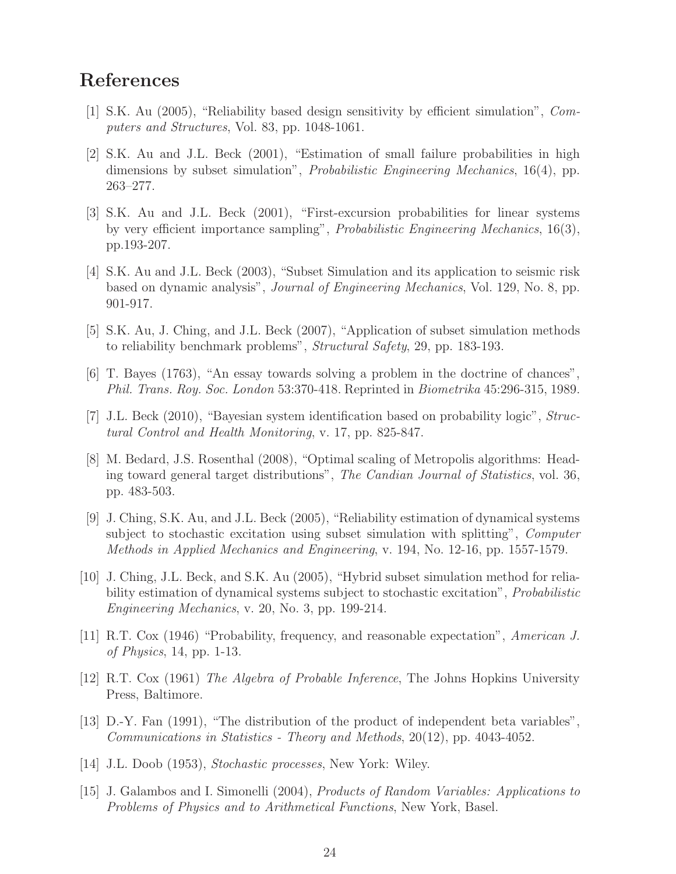## <span id="page-23-14"></span>References

- <span id="page-23-0"></span>[1] S.K. Au (2005), "Reliability based design sensitivity by efficient simulation", Computers and Structures, Vol. 83, pp. 1048-1061.
- [2] S.K. Au and J.L. Beck (2001), "Estimation of small failure probabilities in high dimensions by subset simulation", *Probabilistic Engineering Mechanics*, 16(4), pp. 263–277.
- <span id="page-23-1"></span>[3] S.K. Au and J.L. Beck (2001), "First-excursion probabilities for linear systems by very efficient importance sampling", Probabilistic Engineering Mechanics, 16(3), pp.193-207.
- <span id="page-23-2"></span>[4] S.K. Au and J.L. Beck (2003), "Subset Simulation and its application to seismic risk based on dynamic analysis", Journal of Engineering Mechanics, Vol. 129, No. 8, pp. 901-917.
- <span id="page-23-6"></span><span id="page-23-3"></span>[5] S.K. Au, J. Ching, and J.L. Beck (2007), "Application of subset simulation methods to reliability benchmark problems", Structural Safety, 29, pp. 183-193.
- <span id="page-23-11"></span>[6] T. Bayes (1763), "An essay towards solving a problem in the doctrine of chances", Phil. Trans. Roy. Soc. London 53:370-418. Reprinted in Biometrika 45:296-315, 1989.
- <span id="page-23-10"></span>[7] J.L. Beck (2010), "Bayesian system identification based on probability logic", Structural Control and Health Monitoring, v. 17, pp. 825-847.
- [8] M. Bedard, J.S. Rosenthal (2008), "Optimal scaling of Metropolis algorithms: Heading toward general target distributions", The Candian Journal of Statistics, vol. 36, pp. 483-503.
- <span id="page-23-4"></span>[9] J. Ching, S.K. Au, and J.L. Beck (2005), "Reliability estimation of dynamical systems subject to stochastic excitation using subset simulation with splitting", *Computer* Methods in Applied Mechanics and Engineering, v. 194, No. 12-16, pp. 1557-1579.
- <span id="page-23-5"></span>[10] J. Ching, J.L. Beck, and S.K. Au (2005), "Hybrid subset simulation method for reliability estimation of dynamical systems subject to stochastic excitation", *Probabilistic* Engineering Mechanics, v. 20, No. 3, pp. 199-214.
- <span id="page-23-8"></span><span id="page-23-7"></span>[11] R.T. Cox (1946) "Probability, frequency, and reasonable expectation", American J. of Physics, 14, pp. 1-13.
- <span id="page-23-13"></span>[12] R.T. Cox (1961) The Algebra of Probable Inference, The Johns Hopkins University Press, Baltimore.
- [13] D.-Y. Fan (1991), "The distribution of the product of independent beta variables", Communications in Statistics - Theory and Methods, 20(12), pp. 4043-4052.
- <span id="page-23-12"></span><span id="page-23-9"></span>[14] J.L. Doob (1953), *Stochastic processes*, New York: Wiley.
- [15] J. Galambos and I. Simonelli (2004), Products of Random Variables: Applications to Problems of Physics and to Arithmetical Functions, New York, Basel.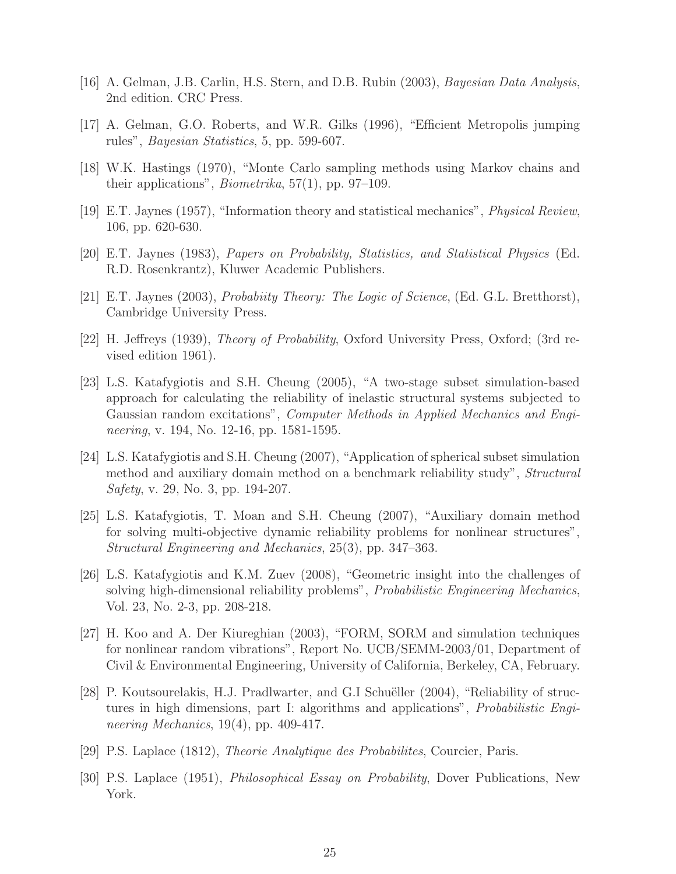- <span id="page-24-13"></span><span id="page-24-11"></span>[16] A. Gelman, J.B. Carlin, H.S. Stern, and D.B. Rubin (2003), Bayesian Data Analysis, 2nd edition. CRC Press.
- <span id="page-24-9"></span>[17] A. Gelman, G.O. Roberts, and W.R. Gilks (1996), "Efficient Metropolis jumping rules", *Bayesian Statistics*, 5, pp. 599-607.
- <span id="page-24-12"></span>[18] W.K. Hastings (1970), "Monte Carlo sampling methods using Markov chains and their applications", *Biometrika*,  $57(1)$ , pp.  $97-109$ .
- <span id="page-24-7"></span>[19] E.T. Jaynes (1957), "Information theory and statistical mechanics", Physical Review, 106, pp. 620-630.
- <span id="page-24-8"></span>[20] E.T. Jaynes (1983), Papers on Probability, Statistics, and Statistical Physics (Ed. R.D. Rosenkrantz), Kluwer Academic Publishers.
- <span id="page-24-6"></span>[21] E.T. Jaynes (2003), Probabiity Theory: The Logic of Science, (Ed. G.L. Bretthorst), Cambridge University Press.
- <span id="page-24-3"></span>[22] H. Jeffreys (1939), Theory of Probability, Oxford University Press, Oxford; (3rd revised edition 1961).
- [23] L.S. Katafygiotis and S.H. Cheung (2005), "A two-stage subset simulation-based approach for calculating the reliability of inelastic structural systems subjected to Gaussian random excitations", Computer Methods in Applied Mechanics and Engineering, v. 194, No. 12-16, pp. 1581-1595.
- <span id="page-24-2"></span>[24] L.S. Katafygiotis and S.H. Cheung (2007), "Application of spherical subset simulation method and auxiliary domain method on a benchmark reliability study", Structural Safety, v. 29, No. 3, pp. 194-207.
- <span id="page-24-1"></span>[25] L.S. Katafygiotis, T. Moan and S.H. Cheung (2007), "Auxiliary domain method for solving multi-objective dynamic reliability problems for nonlinear structures", Structural Engineering and Mechanics, 25(3), pp. 347–363.
- <span id="page-24-10"></span>[26] L.S. Katafygiotis and K.M. Zuev (2008), "Geometric insight into the challenges of solving high-dimensional reliability problems", *Probabilistic Engineering Mechanics*, Vol. 23, No. 2-3, pp. 208-218.
- <span id="page-24-14"></span>[27] H. Koo and A. Der Kiureghian (2003), "FORM, SORM and simulation techniques for nonlinear random vibrations", Report No. UCB/SEMM-2003/01, Department of Civil & Environmental Engineering, University of California, Berkeley, CA, February.
- <span id="page-24-0"></span>[28] P. Koutsourelakis, H.J. Pradlwarter, and G.I Schuëller (2004), "Reliability of structures in high dimensions, part I: algorithms and applications", Probabilistic Engineering Mechanics, 19(4), pp. 409-417.
- <span id="page-24-5"></span><span id="page-24-4"></span>[29] P.S. Laplace (1812), Theorie Analytique des Probabilites, Courcier, Paris.
- [30] P.S. Laplace (1951), Philosophical Essay on Probability, Dover Publications, New York.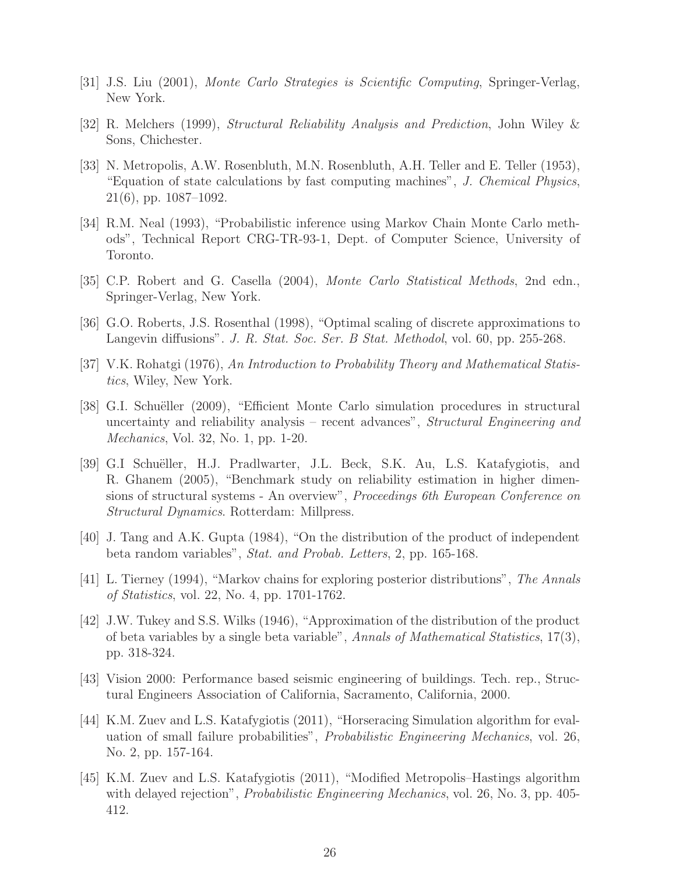- <span id="page-25-11"></span><span id="page-25-2"></span>[31] J.S. Liu (2001), Monte Carlo Strategies is Scientific Computing, Springer-Verlag, New York.
- <span id="page-25-5"></span>[32] R. Melchers (1999), Structural Reliability Analysis and Prediction, John Wiley & Sons, Chichester.
- [33] N. Metropolis, A.W. Rosenbluth, M.N. Rosenbluth, A.H. Teller and E. Teller (1953), "Equation of state calculations by fast computing machines", J. Chemical Physics, 21(6), pp. 1087–1092.
- <span id="page-25-3"></span>[34] R.M. Neal (1993), "Probabilistic inference using Markov Chain Monte Carlo methods", Technical Report CRG-TR-93-1, Dept. of Computer Science, University of Toronto.
- <span id="page-25-7"></span><span id="page-25-4"></span>[35] C.P. Robert and G. Casella (2004), Monte Carlo Statistical Methods, 2nd edn., Springer-Verlag, New York.
- <span id="page-25-8"></span>[36] G.O. Roberts, J.S. Rosenthal (1998), "Optimal scaling of discrete approximations to Langevin diffusions". J. R. Stat. Soc. Ser. B Stat. Methodol, vol. 60, pp. 255-268.
- [37] V.K. Rohatgi (1976), An Introduction to Probability Theory and Mathematical Statistics, Wiley, New York.
- [38] G.I. Schuëller (2009), "Efficient Monte Carlo simulation procedures in structural uncertainty and reliability analysis – recent advances", *Structural Engineering and* Mechanics, Vol. 32, No. 1, pp. 1-20.
- <span id="page-25-1"></span>[39] G.I Schuëller, H.J. Pradlwarter, J.L. Beck, S.K. Au, L.S. Katafygiotis, and R. Ghanem (2005), "Benchmark study on reliability estimation in higher dimensions of structural systems - An overview", Proceedings 6th European Conference on Structural Dynamics. Rotterdam: Millpress.
- <span id="page-25-13"></span><span id="page-25-9"></span>[40] J. Tang and A.K. Gupta (1984), "On the distribution of the product of independent beta random variables", Stat. and Probab. Letters, 2, pp. 165-168.
- <span id="page-25-10"></span>[41] L. Tierney (1994), "Markov chains for exploring posterior distributions", The Annals of Statistics, vol. 22, No. 4, pp. 1701-1762.
- [42] J.W. Tukey and S.S. Wilks (1946), "Approximation of the distribution of the product of beta variables by a single beta variable", Annals of Mathematical Statistics, 17(3), pp. 318-324.
- <span id="page-25-12"></span>[43] Vision 2000: Performance based seismic engineering of buildings. Tech. rep., Structural Engineers Association of California, Sacramento, California, 2000.
- <span id="page-25-0"></span>[44] K.M. Zuev and L.S. Katafygiotis (2011), "Horseracing Simulation algorithm for evaluation of small failure probabilities", Probabilistic Engineering Mechanics, vol. 26, No. 2, pp. 157-164.
- <span id="page-25-6"></span>[45] K.M. Zuev and L.S. Katafygiotis (2011), "Modified Metropolis–Hastings algorithm with delayed rejection", *Probabilistic Engineering Mechanics*, vol. 26, No. 3, pp. 405-412.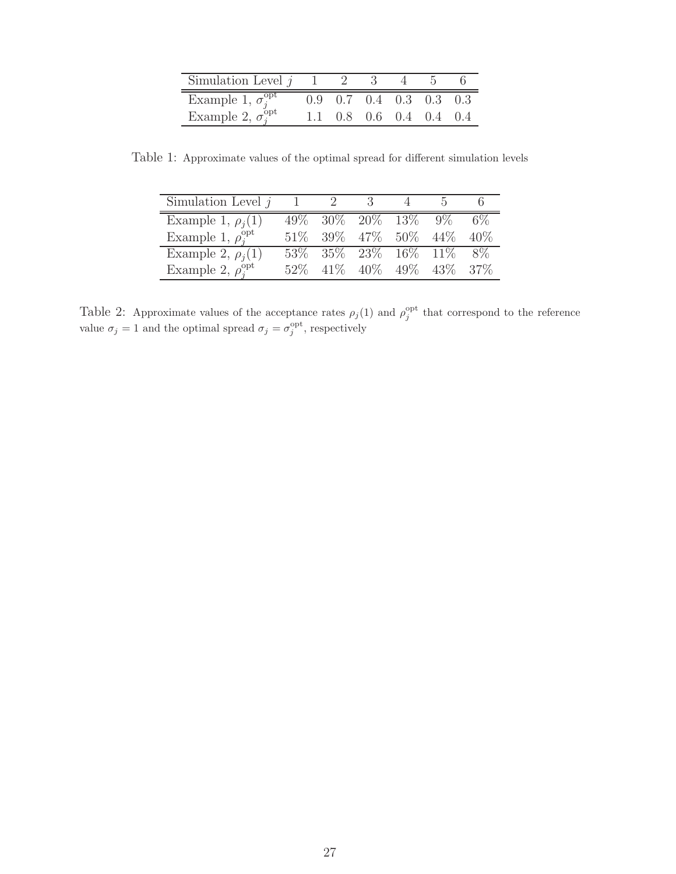| Simulation Level $j$               |  |                           |  |  |
|------------------------------------|--|---------------------------|--|--|
| Example 1, $\sigma_i^{\rm opt}$    |  | $0.9$ 0.7 0.4 0.3 0.3 0.3 |  |  |
| Example 2, $\sigma_i^{\text{opt}}$ |  | $1.1$ 0.8 0.6 0.4 0.4 0.4 |  |  |

Table 1: Approximate values of the optimal spread for different simulation levels

| Simulation Level $j$             | and the con- |  | h                             |        |
|----------------------------------|--------------|--|-------------------------------|--------|
| Example 1, $\rho_i(1)$           |              |  | 49\% 30\% 20\% 13\% 9\%       |        |
| Example 1, $\rho_i^{\text{opt}}$ |              |  | 51\% 39\% 47\% 50\% 44\%      | $40\%$ |
| Example 2, $\rho_i(1)$           |              |  | 53\% 35\% 23\% 16\% 11\% 8\%  |        |
| Example 2, $\rho_i^{\text{opt}}$ |              |  | 52\% 41\% 40\% 49\% 43\% 37\% |        |

Table 2: Approximate values of the acceptance rates  $\rho_j(1)$  and  $\rho_j^{\text{opt}}$  that correspond to the reference value  $\sigma_j = 1$  and the optimal spread  $\sigma_j = \sigma_j^{\text{opt}}$ , respectively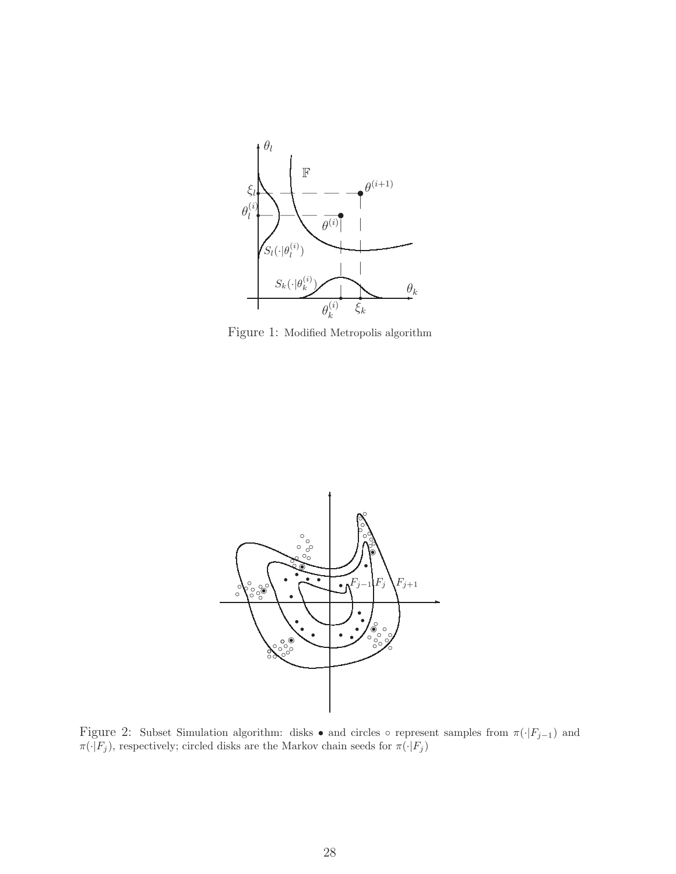

Figure 1: Modified Metropolis algorithm



<span id="page-27-0"></span>Figure 2: Subset Simulation algorithm: disks • and circles ∘ represent samples from  $\pi(\cdot|F_{j-1})$  and  $\pi(\cdot|F_j)$ , respectively; circled disks are the Markov chain seeds for  $\pi(\cdot|F_j)$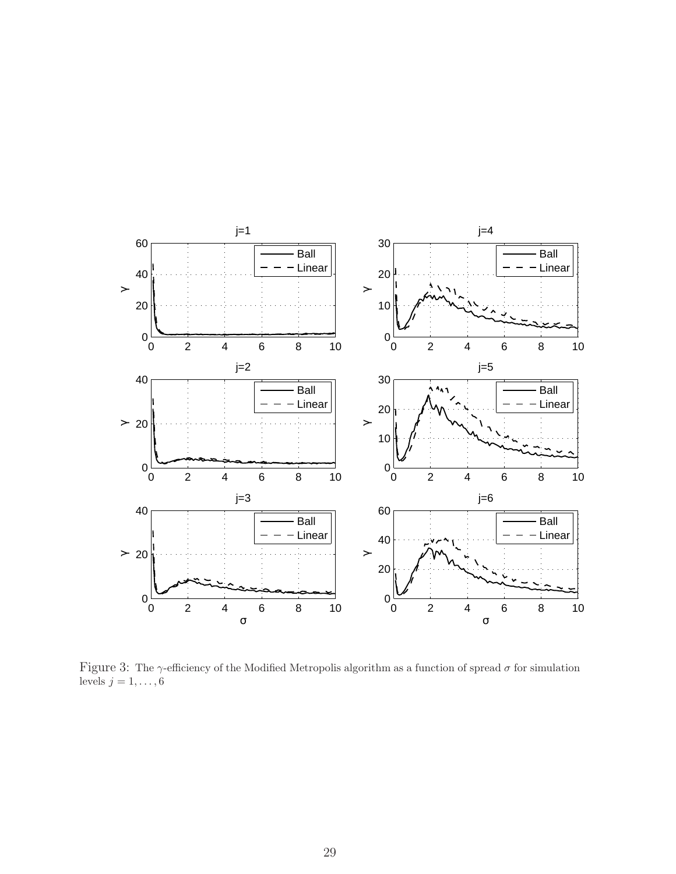

<span id="page-28-0"></span>Figure 3: The  $\gamma$ -efficiency of the Modified Metropolis algorithm as a function of spread  $\sigma$  for simulation levels  $j = 1, \ldots, 6$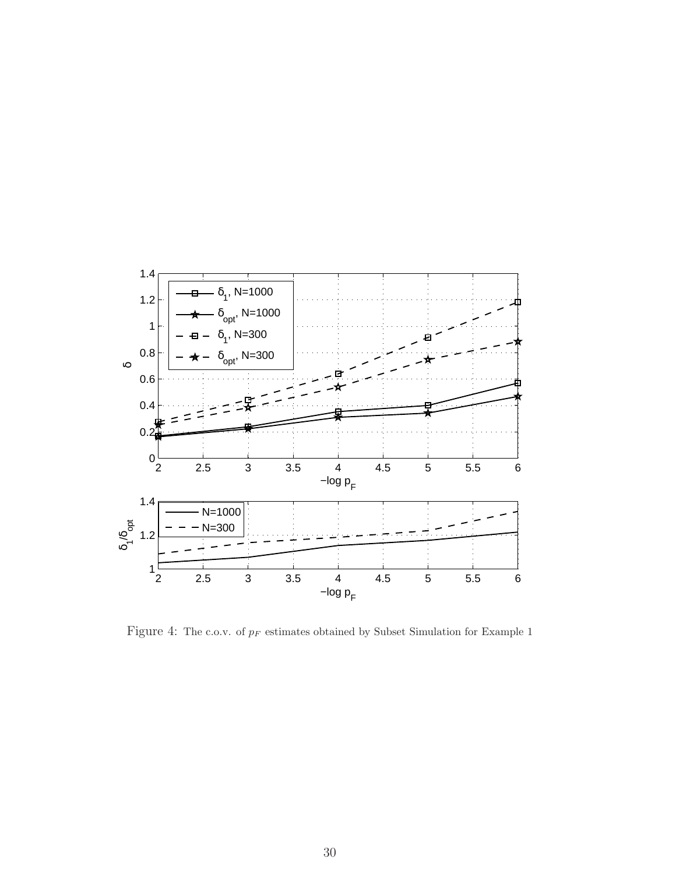

<span id="page-29-0"></span>Figure 4: The c.o.v. of  $p_F$  estimates obtained by Subset Simulation for Example 1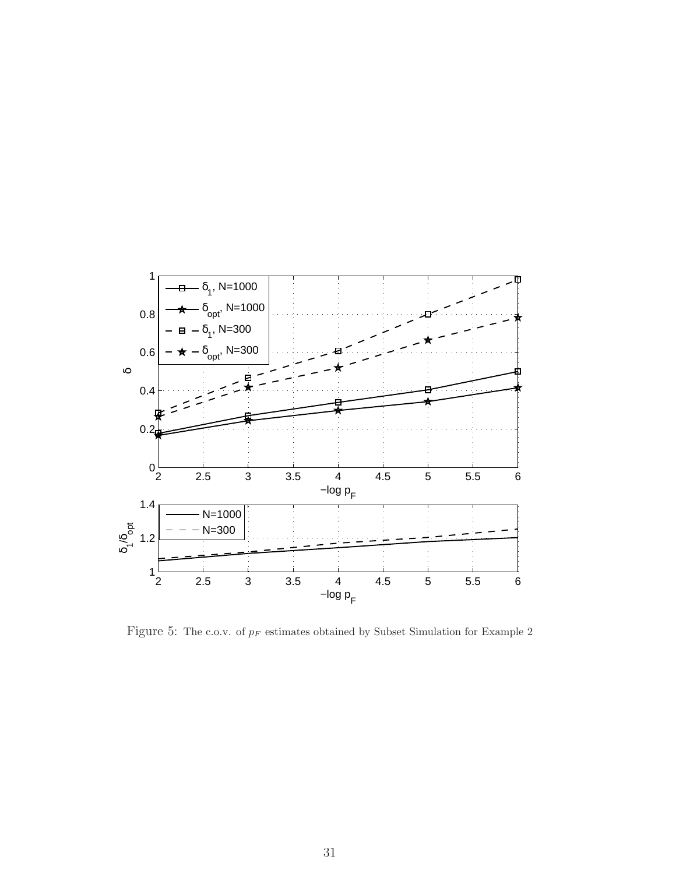

<span id="page-30-0"></span>Figure 5: The c.o.v. of  $p_F$  estimates obtained by Subset Simulation for Example 2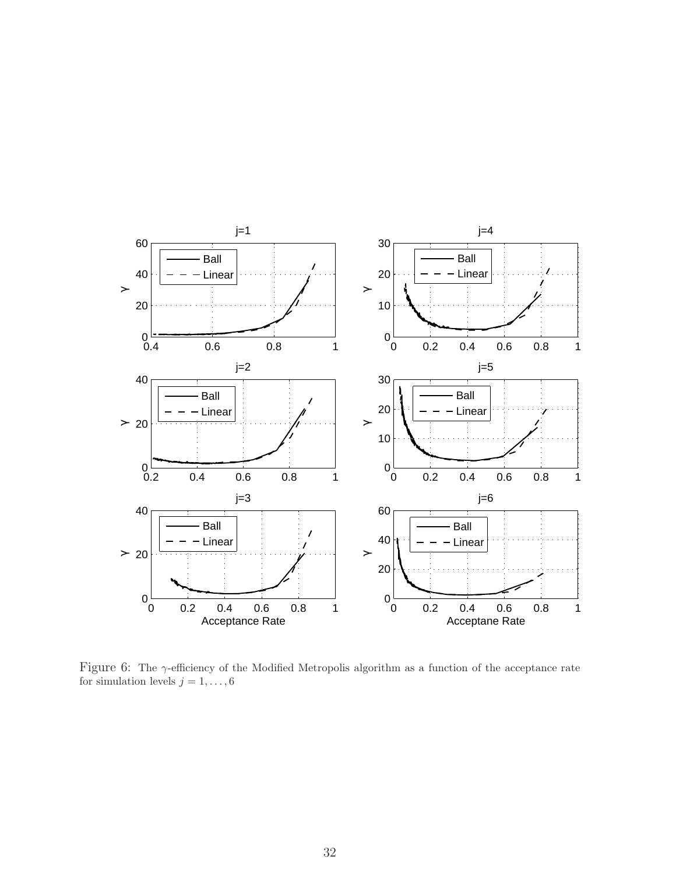

<span id="page-31-0"></span>Figure 6: The  $\gamma$ -efficiency of the Modified Metropolis algorithm as a function of the acceptance rate for simulation levels  $j = 1, \ldots, 6$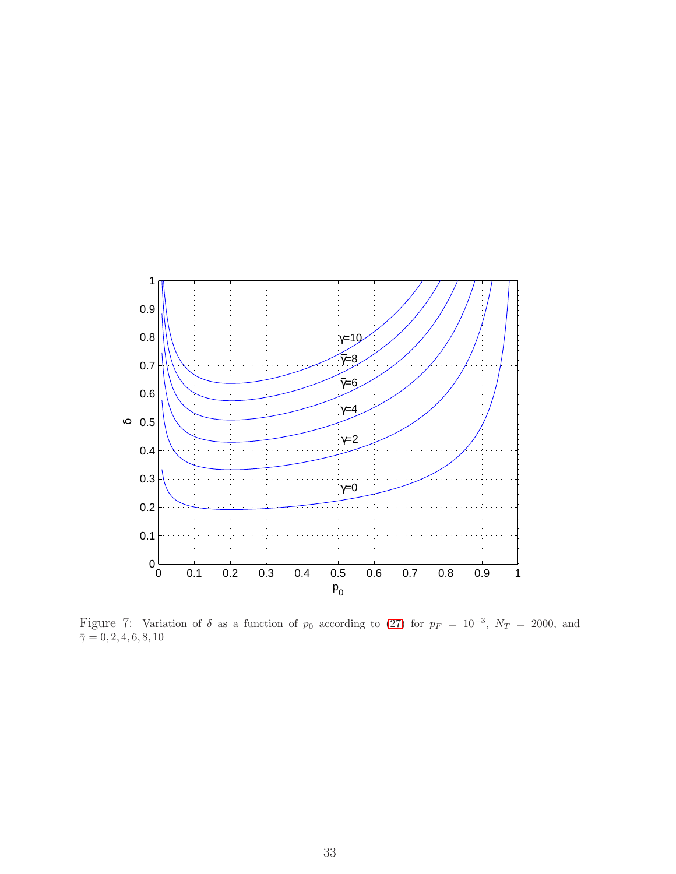

<span id="page-32-0"></span>Figure 7: Variation of  $\delta$  as a function of  $p_0$  according to [\(27\)](#page-14-2) for  $p_F = 10^{-3}$ ,  $N_T = 2000$ , and  $\bar{\gamma} = 0, 2, 4, 6, 8, 10$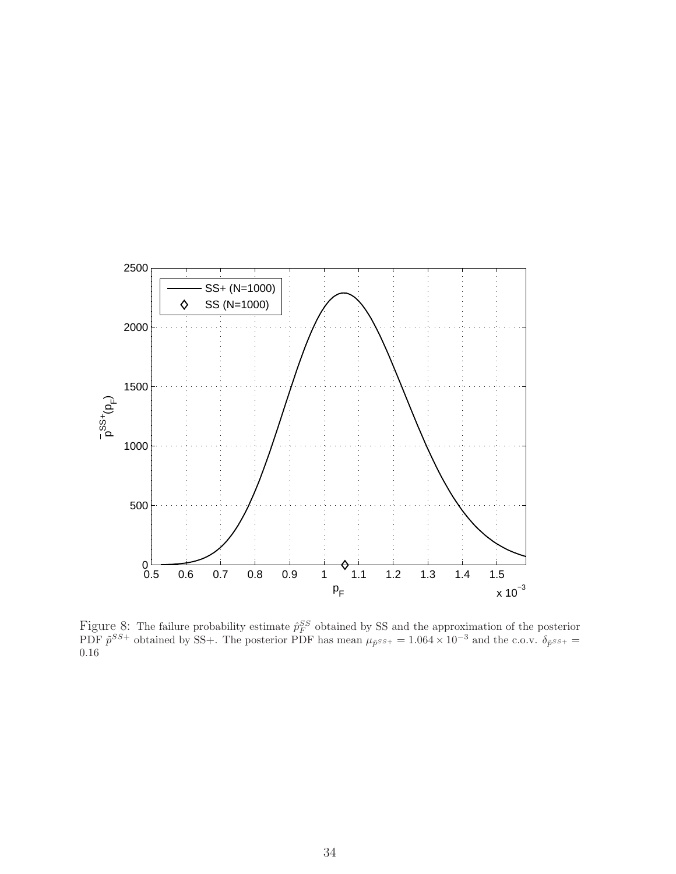

<span id="page-33-0"></span>Figure 8: The failure probability estimate  $\hat{p}_F^{SS}$  obtained by SS and the approximation of the posterior PDF  $\tilde{p}^{SS+}$  obtained by SS+. The posterior PDF has mean  $\mu_{\tilde{p}^{SS+}} = 1.064 \times 10^{-3}$  and the c.o.v.  $\delta_{\tilde{p}^{SS+}} =$ 0.16